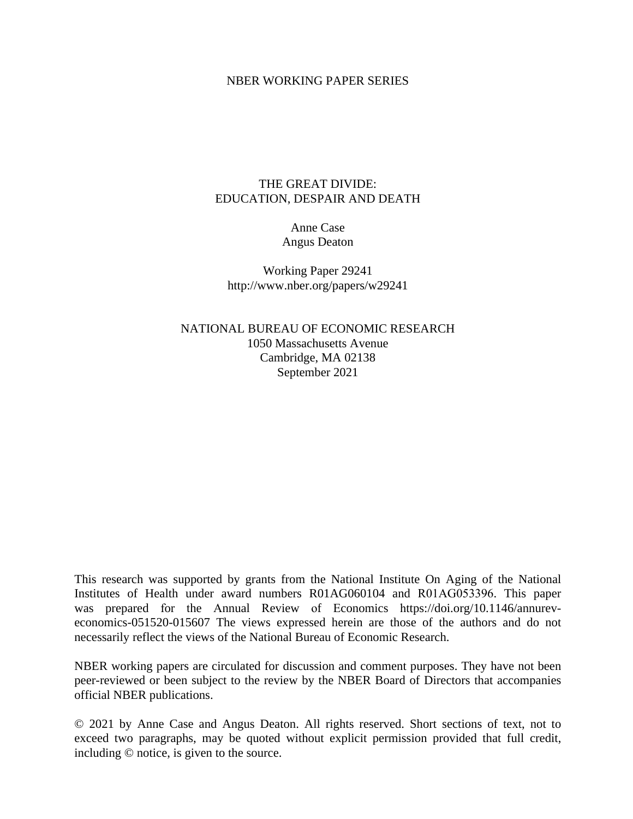### NBER WORKING PAPER SERIES

# THE GREAT DIVIDE: EDUCATION, DESPAIR AND DEATH

## Anne Case Angus Deaton

Working Paper 29241 http://www.nber.org/papers/w29241

# NATIONAL BUREAU OF ECONOMIC RESEARCH 1050 Massachusetts Avenue Cambridge, MA 02138 September 2021

This research was supported by grants from the National Institute On Aging of the National Institutes of Health under award numbers R01AG060104 and R01AG053396. This paper was prepared for the Annual Review of Economics https://doi.org/10.1146/annureveconomics-051520-015607 The views expressed herein are those of the authors and do not necessarily reflect the views of the National Bureau of Economic Research.

NBER working papers are circulated for discussion and comment purposes. They have not been peer-reviewed or been subject to the review by the NBER Board of Directors that accompanies official NBER publications.

© 2021 by Anne Case and Angus Deaton. All rights reserved. Short sections of text, not to exceed two paragraphs, may be quoted without explicit permission provided that full credit, including © notice, is given to the source.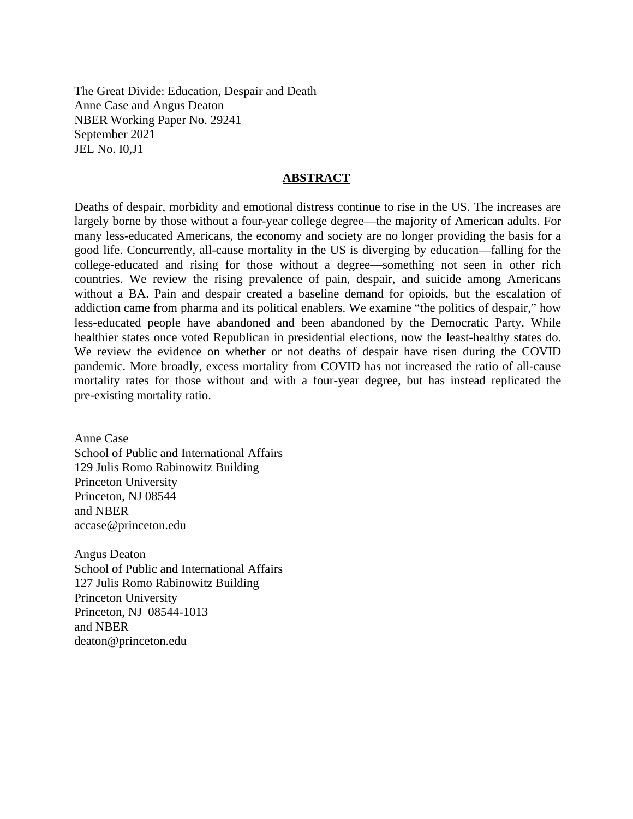The Great Divide: Education, Despair and Death Anne Case and Angus Deaton NBER Working Paper No. 29241 September 2021 JEL No. I0,J1

### **ABSTRACT**

Deaths of despair, morbidity and emotional distress continue to rise in the US. The increases are largely borne by those without a four-year college degree—the majority of American adults. For many less-educated Americans, the economy and society are no longer providing the basis for a good life. Concurrently, all-cause mortality in the US is diverging by education—falling for the college-educated and rising for those without a degree—something not seen in other rich countries. We review the rising prevalence of pain, despair, and suicide among Americans without a BA. Pain and despair created a baseline demand for opioids, but the escalation of addiction came from pharma and its political enablers. We examine "the politics of despair," how less-educated people have abandoned and been abandoned by the Democratic Party. While healthier states once voted Republican in presidential elections, now the least-healthy states do. We review the evidence on whether or not deaths of despair have risen during the COVID pandemic. More broadly, excess mortality from COVID has not increased the ratio of all-cause mortality rates for those without and with a four-year degree, but has instead replicated the pre-existing mortality ratio.

Anne Case School of Public and International Affairs 129 Julis Romo Rabinowitz Building Princeton University Princeton, NJ 08544 and NBER accase@princeton.edu

Angus Deaton School of Public and International Affairs 127 Julis Romo Rabinowitz Building Princeton University Princeton, NJ 08544-1013 and NBER deaton@princeton.edu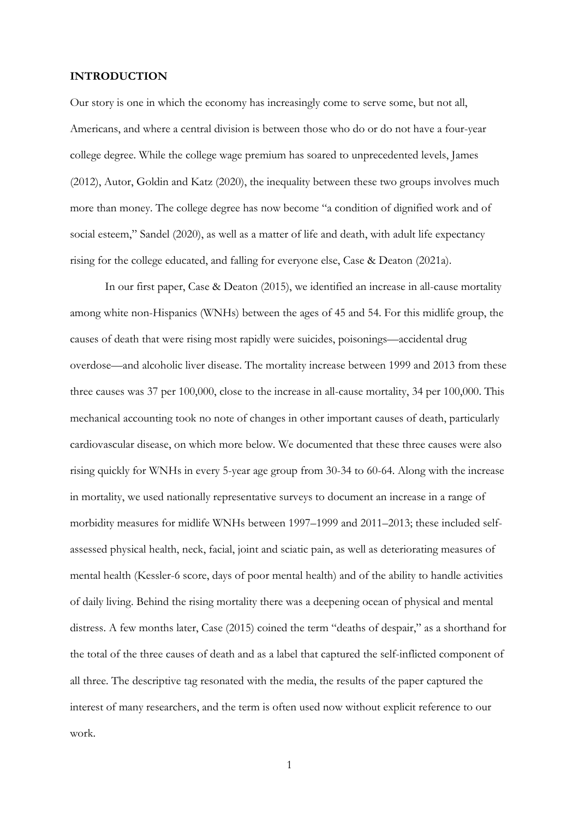#### **INTRODUCTION**

Our story is one in which the economy has increasingly come to serve some, but not all, Americans, and where a central division is between those who do or do not have a four-year college degree. While the college wage premium has soared to unprecedented levels, James (2012), Autor, Goldin and Katz (2020), the inequality between these two groups involves much more than money. The college degree has now become "a condition of dignified work and of social esteem," Sandel (2020), as well as a matter of life and death, with adult life expectancy rising for the college educated, and falling for everyone else, Case & Deaton (2021a).

In our first paper, Case & Deaton (2015), we identified an increase in all-cause mortality among white non-Hispanics (WNHs) between the ages of 45 and 54. For this midlife group, the causes of death that were rising most rapidly were suicides, poisonings—accidental drug overdose—and alcoholic liver disease. The mortality increase between 1999 and 2013 from these three causes was 37 per 100,000, close to the increase in all-cause mortality, 34 per 100,000. This mechanical accounting took no note of changes in other important causes of death, particularly cardiovascular disease, on which more below. We documented that these three causes were also rising quickly for WNHs in every 5-year age group from 30-34 to 60-64. Along with the increase in mortality, we used nationally representative surveys to document an increase in a range of morbidity measures for midlife WNHs between 1997–1999 and 2011–2013; these included selfassessed physical health, neck, facial, joint and sciatic pain, as well as deteriorating measures of mental health (Kessler-6 score, days of poor mental health) and of the ability to handle activities of daily living. Behind the rising mortality there was a deepening ocean of physical and mental distress. A few months later, Case (2015) coined the term "deaths of despair," as a shorthand for the total of the three causes of death and as a label that captured the self-inflicted component of all three. The descriptive tag resonated with the media, the results of the paper captured the interest of many researchers, and the term is often used now without explicit reference to our work.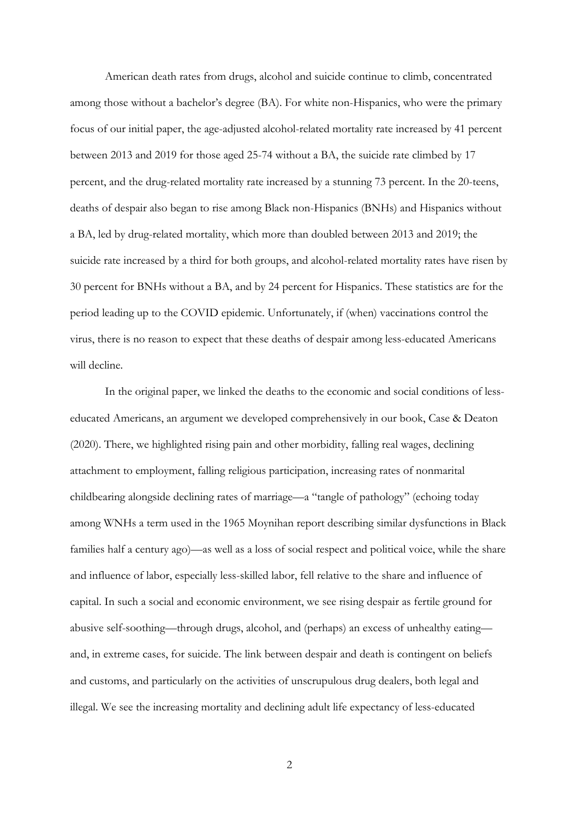American death rates from drugs, alcohol and suicide continue to climb, concentrated among those without a bachelor's degree (BA). For white non-Hispanics, who were the primary focus of our initial paper, the age-adjusted alcohol-related mortality rate increased by 41 percent between 2013 and 2019 for those aged 25-74 without a BA, the suicide rate climbed by 17 percent, and the drug-related mortality rate increased by a stunning 73 percent. In the 20-teens, deaths of despair also began to rise among Black non-Hispanics (BNHs) and Hispanics without a BA, led by drug-related mortality, which more than doubled between 2013 and 2019; the suicide rate increased by a third for both groups, and alcohol-related mortality rates have risen by 30 percent for BNHs without a BA, and by 24 percent for Hispanics. These statistics are for the period leading up to the COVID epidemic. Unfortunately, if (when) vaccinations control the virus, there is no reason to expect that these deaths of despair among less-educated Americans will decline.

In the original paper, we linked the deaths to the economic and social conditions of lesseducated Americans, an argument we developed comprehensively in our book, Case & Deaton (2020). There, we highlighted rising pain and other morbidity, falling real wages, declining attachment to employment, falling religious participation, increasing rates of nonmarital childbearing alongside declining rates of marriage—a "tangle of pathology" (echoing today among WNHs a term used in the 1965 Moynihan report describing similar dysfunctions in Black families half a century ago)—as well as a loss of social respect and political voice, while the share and influence of labor, especially less-skilled labor, fell relative to the share and influence of capital. In such a social and economic environment, we see rising despair as fertile ground for abusive self-soothing—through drugs, alcohol, and (perhaps) an excess of unhealthy eating and, in extreme cases, for suicide. The link between despair and death is contingent on beliefs and customs, and particularly on the activities of unscrupulous drug dealers, both legal and illegal. We see the increasing mortality and declining adult life expectancy of less-educated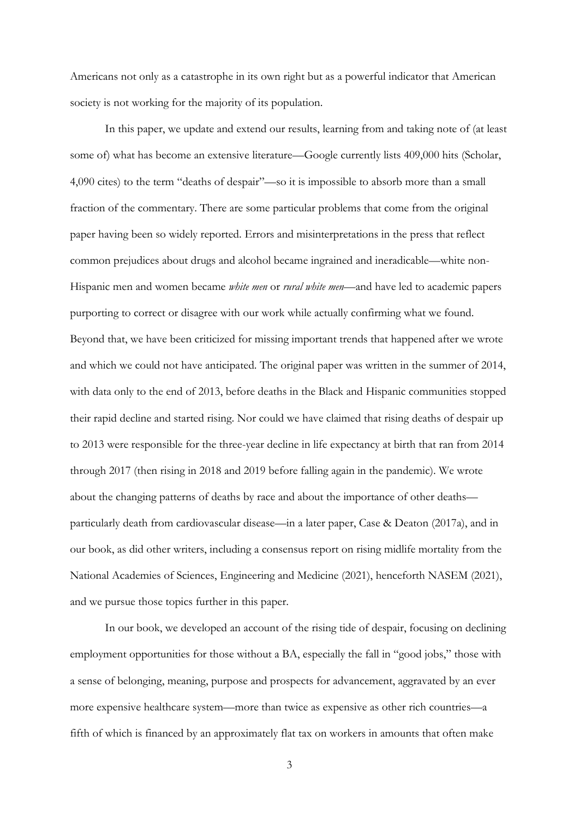Americans not only as a catastrophe in its own right but as a powerful indicator that American society is not working for the majority of its population.

In this paper, we update and extend our results, learning from and taking note of (at least some of) what has become an extensive literature—Google currently lists 409,000 hits (Scholar, 4,090 cites) to the term "deaths of despair"—so it is impossible to absorb more than a small fraction of the commentary. There are some particular problems that come from the original paper having been so widely reported. Errors and misinterpretations in the press that reflect common prejudices about drugs and alcohol became ingrained and ineradicable—white non-Hispanic men and women became *white men* or *rural white men*—and have led to academic papers purporting to correct or disagree with our work while actually confirming what we found. Beyond that, we have been criticized for missing important trends that happened after we wrote and which we could not have anticipated. The original paper was written in the summer of 2014, with data only to the end of 2013, before deaths in the Black and Hispanic communities stopped their rapid decline and started rising. Nor could we have claimed that rising deaths of despair up to 2013 were responsible for the three-year decline in life expectancy at birth that ran from 2014 through 2017 (then rising in 2018 and 2019 before falling again in the pandemic). We wrote about the changing patterns of deaths by race and about the importance of other deaths particularly death from cardiovascular disease—in a later paper, Case & Deaton (2017a), and in our book, as did other writers, including a consensus report on rising midlife mortality from the National Academies of Sciences, Engineering and Medicine (2021), henceforth NASEM (2021), and we pursue those topics further in this paper.

In our book, we developed an account of the rising tide of despair, focusing on declining employment opportunities for those without a BA, especially the fall in "good jobs," those with a sense of belonging, meaning, purpose and prospects for advancement, aggravated by an ever more expensive healthcare system—more than twice as expensive as other rich countries—a fifth of which is financed by an approximately flat tax on workers in amounts that often make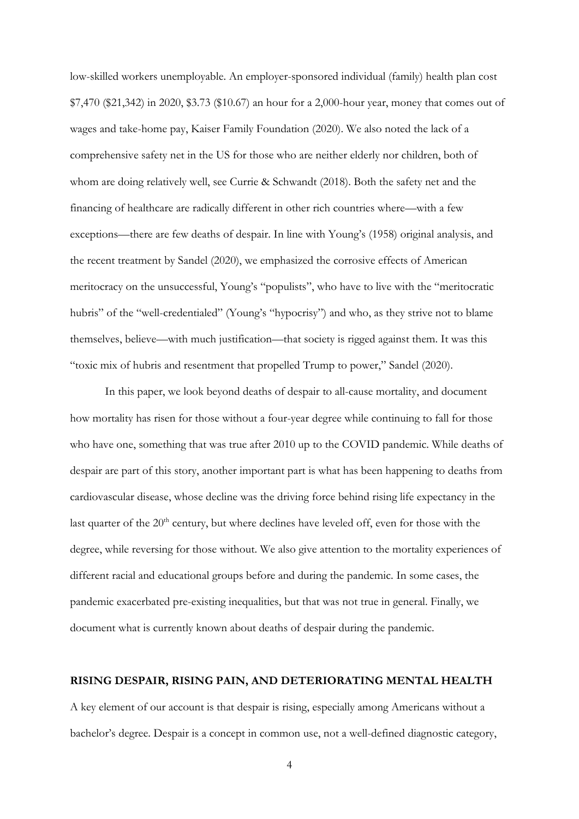low-skilled workers unemployable. An employer-sponsored individual (family) health plan cost \$7,470 (\$21,342) in 2020, \$3.73 (\$10.67) an hour for a 2,000-hour year, money that comes out of wages and take-home pay, Kaiser Family Foundation (2020). We also noted the lack of a comprehensive safety net in the US for those who are neither elderly nor children, both of whom are doing relatively well, see Currie & Schwandt (2018). Both the safety net and the financing of healthcare are radically different in other rich countries where—with a few exceptions—there are few deaths of despair. In line with Young's (1958) original analysis, and the recent treatment by Sandel (2020), we emphasized the corrosive effects of American meritocracy on the unsuccessful, Young's "populists", who have to live with the "meritocratic hubris" of the "well-credentialed" (Young's "hypocrisy") and who, as they strive not to blame themselves, believe—with much justification—that society is rigged against them. It was this "toxic mix of hubris and resentment that propelled Trump to power," Sandel (2020).

In this paper, we look beyond deaths of despair to all-cause mortality, and document how mortality has risen for those without a four-year degree while continuing to fall for those who have one, something that was true after 2010 up to the COVID pandemic. While deaths of despair are part of this story, another important part is what has been happening to deaths from cardiovascular disease, whose decline was the driving force behind rising life expectancy in the last quarter of the  $20<sup>th</sup>$  century, but where declines have leveled off, even for those with the degree, while reversing for those without. We also give attention to the mortality experiences of different racial and educational groups before and during the pandemic. In some cases, the pandemic exacerbated pre-existing inequalities, but that was not true in general. Finally, we document what is currently known about deaths of despair during the pandemic.

### **RISING DESPAIR, RISING PAIN, AND DETERIORATING MENTAL HEALTH**

A key element of our account is that despair is rising, especially among Americans without a bachelor's degree. Despair is a concept in common use, not a well-defined diagnostic category,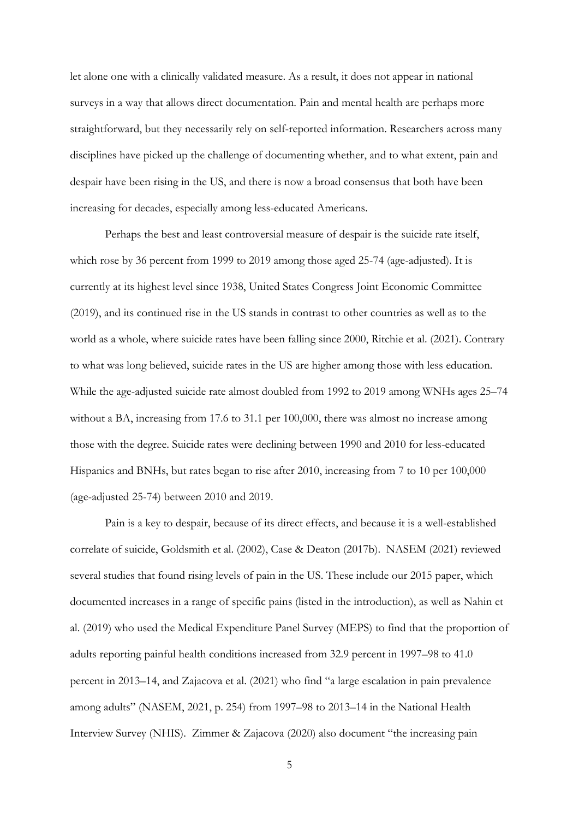let alone one with a clinically validated measure. As a result, it does not appear in national surveys in a way that allows direct documentation. Pain and mental health are perhaps more straightforward, but they necessarily rely on self-reported information. Researchers across many disciplines have picked up the challenge of documenting whether, and to what extent, pain and despair have been rising in the US, and there is now a broad consensus that both have been increasing for decades, especially among less-educated Americans.

Perhaps the best and least controversial measure of despair is the suicide rate itself, which rose by 36 percent from 1999 to 2019 among those aged 25-74 (age-adjusted). It is currently at its highest level since 1938, United States Congress Joint Economic Committee (2019), and its continued rise in the US stands in contrast to other countries as well as to the world as a whole, where suicide rates have been falling since 2000, Ritchie et al. (2021). Contrary to what was long believed, suicide rates in the US are higher among those with less education. While the age-adjusted suicide rate almost doubled from 1992 to 2019 among WNHs ages 25–74 without a BA, increasing from 17.6 to 31.1 per 100,000, there was almost no increase among those with the degree. Suicide rates were declining between 1990 and 2010 for less-educated Hispanics and BNHs, but rates began to rise after 2010, increasing from 7 to 10 per 100,000 (age-adjusted 25-74) between 2010 and 2019.

Pain is a key to despair, because of its direct effects, and because it is a well-established correlate of suicide, Goldsmith et al. (2002), Case & Deaton (2017b). NASEM (2021) reviewed several studies that found rising levels of pain in the US. These include our 2015 paper, which documented increases in a range of specific pains (listed in the introduction), as well as Nahin et al. (2019) who used the Medical Expenditure Panel Survey (MEPS) to find that the proportion of adults reporting painful health conditions increased from 32.9 percent in 1997–98 to 41.0 percent in 2013–14, and Zajacova et al. (2021) who find "a large escalation in pain prevalence among adults" (NASEM, 2021, p. 254) from 1997–98 to 2013–14 in the National Health Interview Survey (NHIS). Zimmer & Zajacova (2020) also document "the increasing pain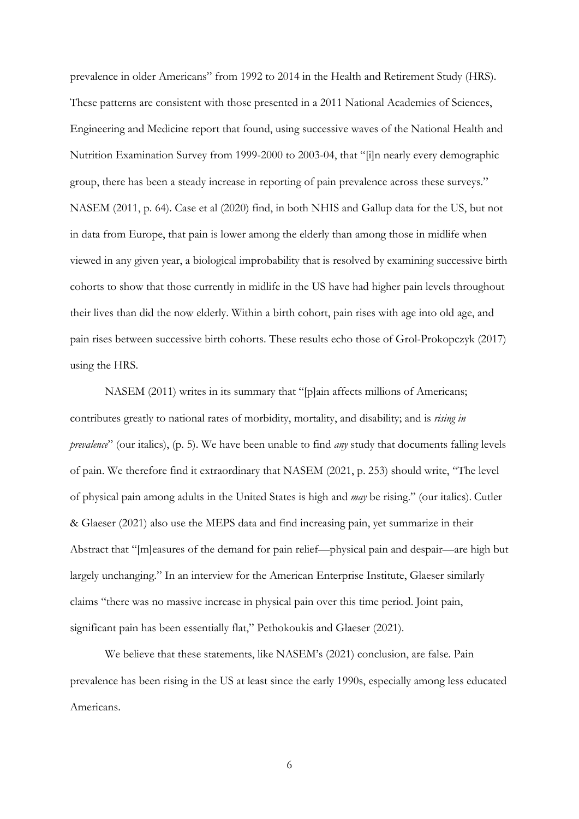prevalence in older Americans" from 1992 to 2014 in the Health and Retirement Study (HRS). These patterns are consistent with those presented in a 2011 National Academies of Sciences, Engineering and Medicine report that found, using successive waves of the National Health and Nutrition Examination Survey from 1999-2000 to 2003-04, that "[i]n nearly every demographic group, there has been a steady increase in reporting of pain prevalence across these surveys." NASEM (2011, p. 64). Case et al (2020) find, in both NHIS and Gallup data for the US, but not in data from Europe, that pain is lower among the elderly than among those in midlife when viewed in any given year, a biological improbability that is resolved by examining successive birth cohorts to show that those currently in midlife in the US have had higher pain levels throughout their lives than did the now elderly. Within a birth cohort, pain rises with age into old age, and pain rises between successive birth cohorts. These results echo those of Grol-Prokopczyk (2017) using the HRS.

NASEM (2011) writes in its summary that "[p]ain affects millions of Americans; contributes greatly to national rates of morbidity, mortality, and disability; and is *rising in prevalence*" (our italics), (p. 5). We have been unable to find *any* study that documents falling levels of pain. We therefore find it extraordinary that NASEM (2021, p. 253) should write, "The level of physical pain among adults in the United States is high and *may* be rising." (our italics). Cutler & Glaeser (2021) also use the MEPS data and find increasing pain, yet summarize in their Abstract that "[m]easures of the demand for pain relief—physical pain and despair—are high but largely unchanging." In an interview for the American Enterprise Institute, Glaeser similarly claims "there was no massive increase in physical pain over this time period. Joint pain, significant pain has been essentially flat," Pethokoukis and Glaeser (2021).

We believe that these statements, like NASEM's (2021) conclusion, are false. Pain prevalence has been rising in the US at least since the early 1990s, especially among less educated Americans.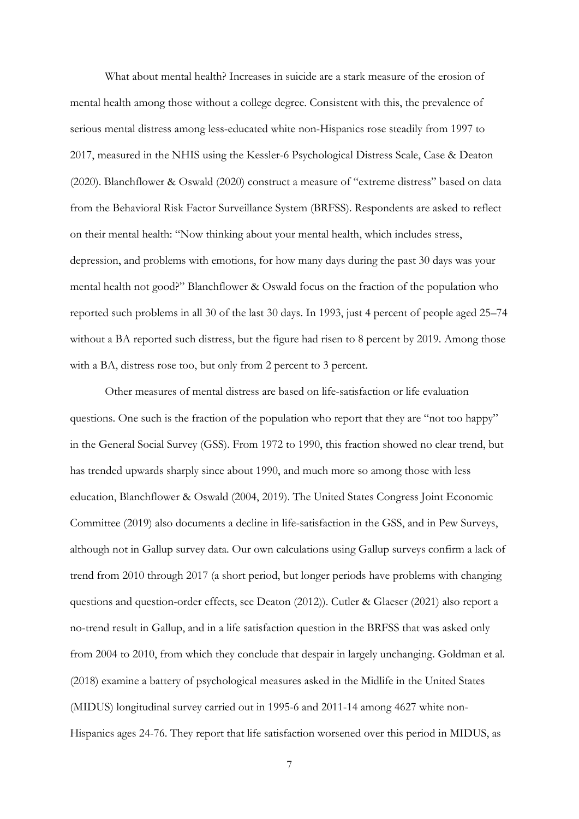What about mental health? Increases in suicide are a stark measure of the erosion of mental health among those without a college degree. Consistent with this, the prevalence of serious mental distress among less-educated white non-Hispanics rose steadily from 1997 to 2017, measured in the NHIS using the Kessler-6 Psychological Distress Scale, Case & Deaton (2020). Blanchflower & Oswald (2020) construct a measure of "extreme distress" based on data from the Behavioral Risk Factor Surveillance System (BRFSS). Respondents are asked to reflect on their mental health: "Now thinking about your mental health, which includes stress, depression, and problems with emotions, for how many days during the past 30 days was your mental health not good?" Blanchflower & Oswald focus on the fraction of the population who reported such problems in all 30 of the last 30 days. In 1993, just 4 percent of people aged 25–74 without a BA reported such distress, but the figure had risen to 8 percent by 2019. Among those with a BA, distress rose too, but only from 2 percent to 3 percent.

Other measures of mental distress are based on life-satisfaction or life evaluation questions. One such is the fraction of the population who report that they are "not too happy" in the General Social Survey (GSS). From 1972 to 1990, this fraction showed no clear trend, but has trended upwards sharply since about 1990, and much more so among those with less education, Blanchflower & Oswald (2004, 2019). The United States Congress Joint Economic Committee (2019) also documents a decline in life-satisfaction in the GSS, and in Pew Surveys, although not in Gallup survey data. Our own calculations using Gallup surveys confirm a lack of trend from 2010 through 2017 (a short period, but longer periods have problems with changing questions and question-order effects, see Deaton (2012)). Cutler & Glaeser (2021) also report a no-trend result in Gallup, and in a life satisfaction question in the BRFSS that was asked only from 2004 to 2010, from which they conclude that despair in largely unchanging. Goldman et al. (2018) examine a battery of psychological measures asked in the Midlife in the United States (MIDUS) longitudinal survey carried out in 1995-6 and 2011-14 among 4627 white non-Hispanics ages 24-76. They report that life satisfaction worsened over this period in MIDUS, as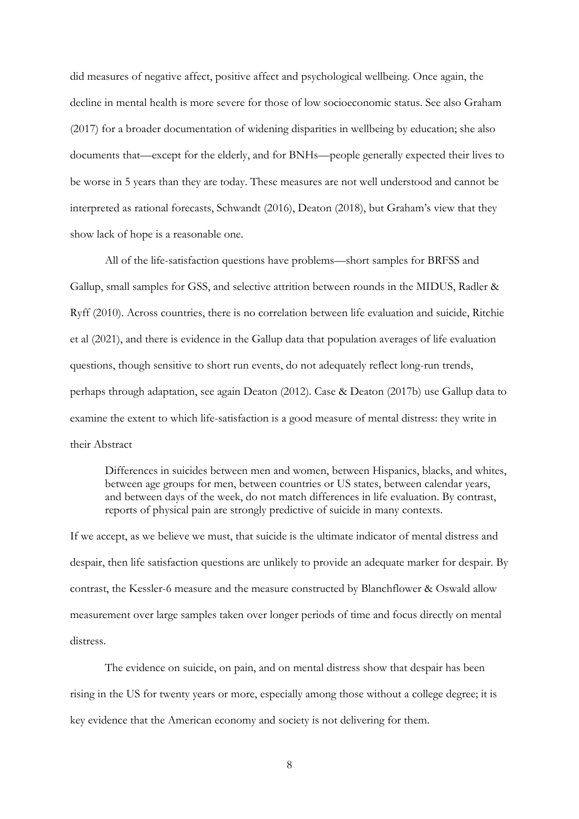did measures of negative affect, positive affect and psychological wellbeing. Once again, the decline in mental health is more severe for those of low socioeconomic status. See also Graham (2017) for a broader documentation of widening disparities in wellbeing by education; she also documents that—except for the elderly, and for BNHs—people generally expected their lives to be worse in 5 years than they are today. These measures are not well understood and cannot be interpreted as rational forecasts, Schwandt (2016), Deaton (2018), but Graham's view that they show lack of hope is a reasonable one.

All of the life-satisfaction questions have problems—short samples for BRFSS and Gallup, small samples for GSS, and selective attrition between rounds in the MIDUS, Radler & Ryff (2010). Across countries, there is no correlation between life evaluation and suicide, Ritchie et al (2021), and there is evidence in the Gallup data that population averages of life evaluation questions, though sensitive to short run events, do not adequately reflect long-run trends, perhaps through adaptation, see again Deaton (2012). Case & Deaton (2017b) use Gallup data to examine the extent to which life-satisfaction is a good measure of mental distress: they write in their Abstract

Differences in suicides between men and women, between Hispanics, blacks, and whites, between age groups for men, between countries or US states, between calendar years, and between days of the week, do not match differences in life evaluation. By contrast, reports of physical pain are strongly predictive of suicide in many contexts.

If we accept, as we believe we must, that suicide is the ultimate indicator of mental distress and despair, then life satisfaction questions are unlikely to provide an adequate marker for despair. By contrast, the Kessler-6 measure and the measure constructed by Blanchflower & Oswald allow measurement over large samples taken over longer periods of time and focus directly on mental distress.

The evidence on suicide, on pain, and on mental distress show that despair has been rising in the US for twenty years or more, especially among those without a college degree; it is key evidence that the American economy and society is not delivering for them.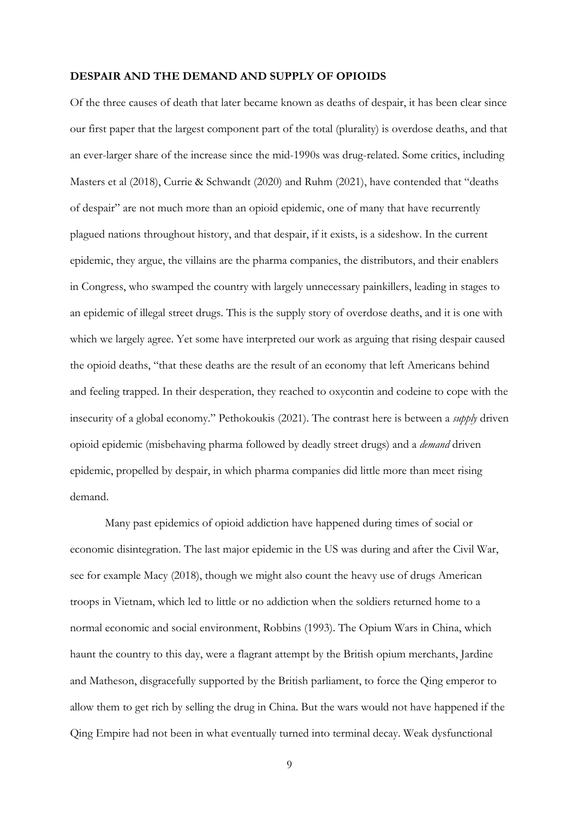#### **DESPAIR AND THE DEMAND AND SUPPLY OF OPIOIDS**

Of the three causes of death that later became known as deaths of despair, it has been clear since our first paper that the largest component part of the total (plurality) is overdose deaths, and that an ever-larger share of the increase since the mid-1990s was drug-related. Some critics, including Masters et al (2018), Currie & Schwandt (2020) and Ruhm (2021), have contended that "deaths of despair" are not much more than an opioid epidemic, one of many that have recurrently plagued nations throughout history, and that despair, if it exists, is a sideshow. In the current epidemic, they argue, the villains are the pharma companies, the distributors, and their enablers in Congress, who swamped the country with largely unnecessary painkillers, leading in stages to an epidemic of illegal street drugs. This is the supply story of overdose deaths, and it is one with which we largely agree. Yet some have interpreted our work as arguing that rising despair caused the opioid deaths, "that these deaths are the result of an economy that left Americans behind and feeling trapped. In their desperation, they reached to oxycontin and codeine to cope with the insecurity of a global economy." Pethokoukis (2021). The contrast here is between a *supply* driven opioid epidemic (misbehaving pharma followed by deadly street drugs) and a *demand* driven epidemic, propelled by despair, in which pharma companies did little more than meet rising demand.

Many past epidemics of opioid addiction have happened during times of social or economic disintegration. The last major epidemic in the US was during and after the Civil War, see for example Macy (2018), though we might also count the heavy use of drugs American troops in Vietnam, which led to little or no addiction when the soldiers returned home to a normal economic and social environment, Robbins (1993). The Opium Wars in China, which haunt the country to this day, were a flagrant attempt by the British opium merchants, Jardine and Matheson, disgracefully supported by the British parliament, to force the Qing emperor to allow them to get rich by selling the drug in China. But the wars would not have happened if the Qing Empire had not been in what eventually turned into terminal decay. Weak dysfunctional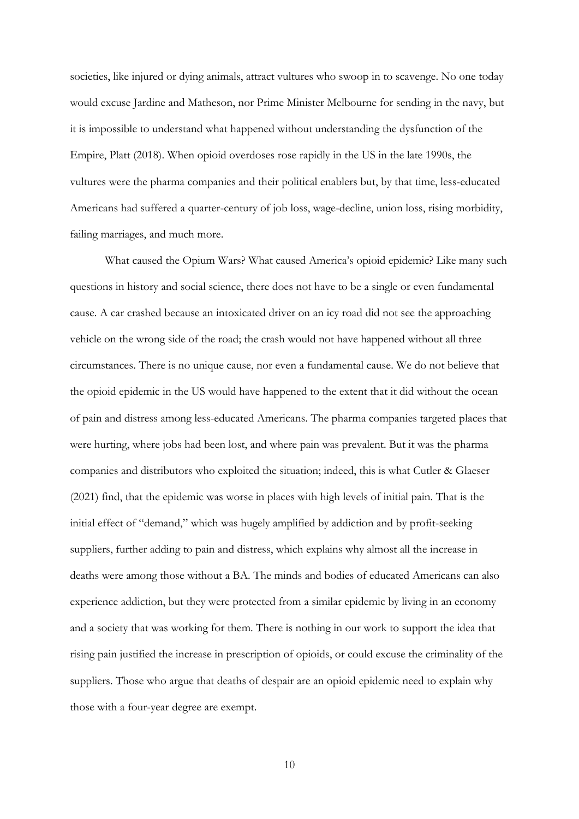societies, like injured or dying animals, attract vultures who swoop in to scavenge. No one today would excuse Jardine and Matheson, nor Prime Minister Melbourne for sending in the navy, but it is impossible to understand what happened without understanding the dysfunction of the Empire, Platt (2018). When opioid overdoses rose rapidly in the US in the late 1990s, the vultures were the pharma companies and their political enablers but, by that time, less-educated Americans had suffered a quarter-century of job loss, wage-decline, union loss, rising morbidity, failing marriages, and much more.

What caused the Opium Wars? What caused America's opioid epidemic? Like many such questions in history and social science, there does not have to be a single or even fundamental cause. A car crashed because an intoxicated driver on an icy road did not see the approaching vehicle on the wrong side of the road; the crash would not have happened without all three circumstances. There is no unique cause, nor even a fundamental cause. We do not believe that the opioid epidemic in the US would have happened to the extent that it did without the ocean of pain and distress among less-educated Americans. The pharma companies targeted places that were hurting, where jobs had been lost, and where pain was prevalent. But it was the pharma companies and distributors who exploited the situation; indeed, this is what Cutler & Glaeser (2021) find, that the epidemic was worse in places with high levels of initial pain. That is the initial effect of "demand," which was hugely amplified by addiction and by profit-seeking suppliers, further adding to pain and distress, which explains why almost all the increase in deaths were among those without a BA. The minds and bodies of educated Americans can also experience addiction, but they were protected from a similar epidemic by living in an economy and a society that was working for them. There is nothing in our work to support the idea that rising pain justified the increase in prescription of opioids, or could excuse the criminality of the suppliers. Those who argue that deaths of despair are an opioid epidemic need to explain why those with a four-year degree are exempt.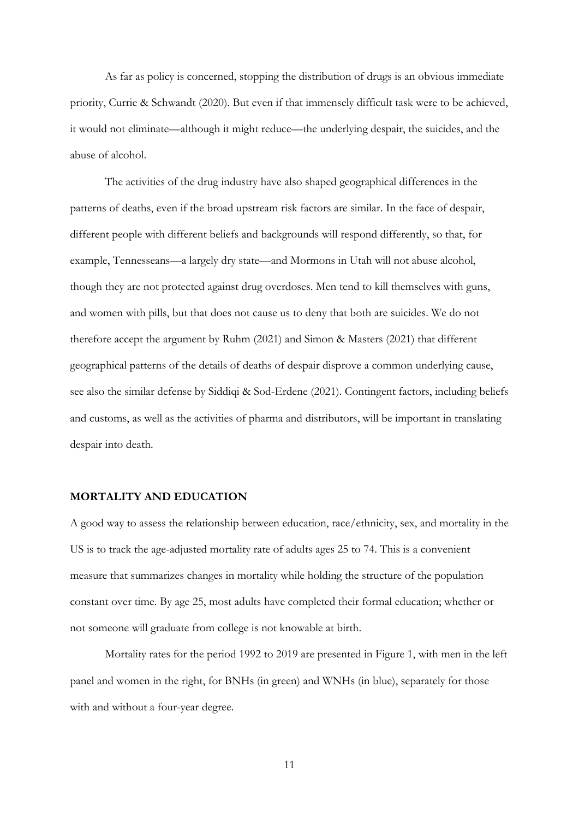As far as policy is concerned, stopping the distribution of drugs is an obvious immediate priority, Currie & Schwandt (2020). But even if that immensely difficult task were to be achieved, it would not eliminate—although it might reduce—the underlying despair, the suicides, and the abuse of alcohol.

The activities of the drug industry have also shaped geographical differences in the patterns of deaths, even if the broad upstream risk factors are similar. In the face of despair, different people with different beliefs and backgrounds will respond differently, so that, for example, Tennesseans—a largely dry state—and Mormons in Utah will not abuse alcohol, though they are not protected against drug overdoses. Men tend to kill themselves with guns, and women with pills, but that does not cause us to deny that both are suicides. We do not therefore accept the argument by Ruhm (2021) and Simon & Masters (2021) that different geographical patterns of the details of deaths of despair disprove a common underlying cause, see also the similar defense by Siddiqi & Sod-Erdene (2021). Contingent factors, including beliefs and customs, as well as the activities of pharma and distributors, will be important in translating despair into death.

### **MORTALITY AND EDUCATION**

A good way to assess the relationship between education, race/ethnicity, sex, and mortality in the US is to track the age-adjusted mortality rate of adults ages 25 to 74. This is a convenient measure that summarizes changes in mortality while holding the structure of the population constant over time. By age 25, most adults have completed their formal education; whether or not someone will graduate from college is not knowable at birth.

Mortality rates for the period 1992 to 2019 are presented in Figure 1, with men in the left panel and women in the right, for BNHs (in green) and WNHs (in blue), separately for those with and without a four-year degree.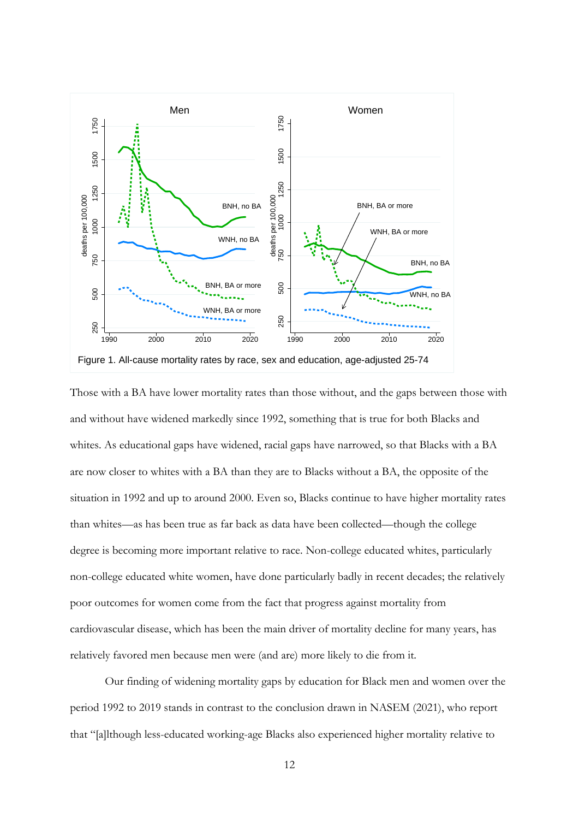

Those with a BA have lower mortality rates than those without, and the gaps between those with and without have widened markedly since 1992, something that is true for both Blacks and whites. As educational gaps have widened, racial gaps have narrowed, so that Blacks with a BA are now closer to whites with a BA than they are to Blacks without a BA, the opposite of the situation in 1992 and up to around 2000. Even so, Blacks continue to have higher mortality rates than whites—as has been true as far back as data have been collected—though the college degree is becoming more important relative to race. Non-college educated whites, particularly non-college educated white women, have done particularly badly in recent decades; the relatively poor outcomes for women come from the fact that progress against mortality from cardiovascular disease, which has been the main driver of mortality decline for many years, has relatively favored men because men were (and are) more likely to die from it.

Our finding of widening mortality gaps by education for Black men and women over the period 1992 to 2019 stands in contrast to the conclusion drawn in NASEM (2021), who report that "[a]lthough less-educated working-age Blacks also experienced higher mortality relative to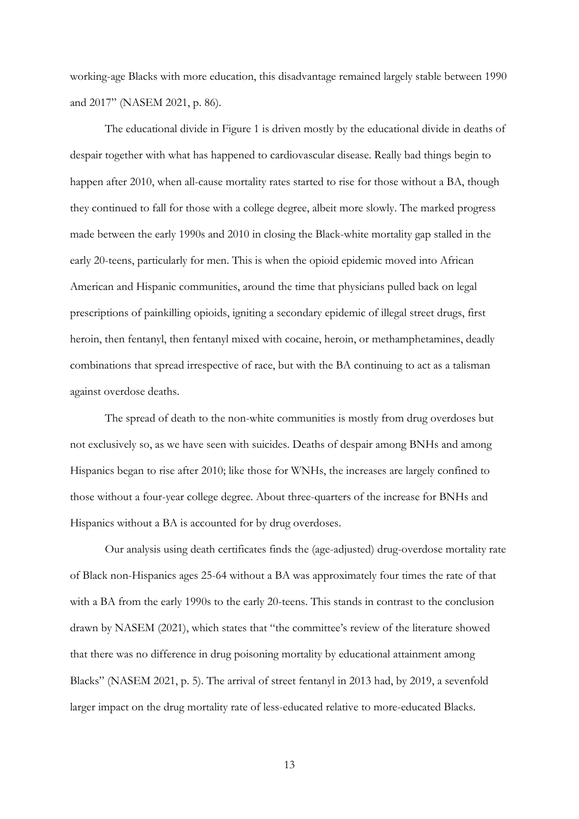working-age Blacks with more education, this disadvantage remained largely stable between 1990 and 2017" (NASEM 2021, p. 86).

The educational divide in Figure 1 is driven mostly by the educational divide in deaths of despair together with what has happened to cardiovascular disease. Really bad things begin to happen after 2010, when all-cause mortality rates started to rise for those without a BA, though they continued to fall for those with a college degree, albeit more slowly. The marked progress made between the early 1990s and 2010 in closing the Black-white mortality gap stalled in the early 20-teens, particularly for men. This is when the opioid epidemic moved into African American and Hispanic communities, around the time that physicians pulled back on legal prescriptions of painkilling opioids, igniting a secondary epidemic of illegal street drugs, first heroin, then fentanyl, then fentanyl mixed with cocaine, heroin, or methamphetamines, deadly combinations that spread irrespective of race, but with the BA continuing to act as a talisman against overdose deaths.

The spread of death to the non-white communities is mostly from drug overdoses but not exclusively so, as we have seen with suicides. Deaths of despair among BNHs and among Hispanics began to rise after 2010; like those for WNHs, the increases are largely confined to those without a four-year college degree. About three-quarters of the increase for BNHs and Hispanics without a BA is accounted for by drug overdoses.

Our analysis using death certificates finds the (age-adjusted) drug-overdose mortality rate of Black non-Hispanics ages 25-64 without a BA was approximately four times the rate of that with a BA from the early 1990s to the early 20-teens. This stands in contrast to the conclusion drawn by NASEM (2021), which states that "the committee's review of the literature showed that there was no difference in drug poisoning mortality by educational attainment among Blacks" (NASEM 2021, p. 5). The arrival of street fentanyl in 2013 had, by 2019, a sevenfold larger impact on the drug mortality rate of less-educated relative to more-educated Blacks.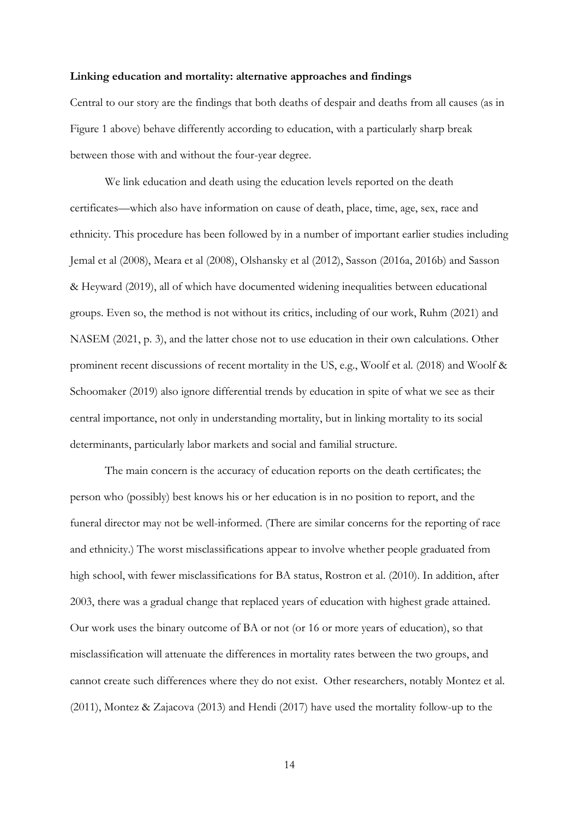### **Linking education and mortality: alternative approaches and findings**

Central to our story are the findings that both deaths of despair and deaths from all causes (as in Figure 1 above) behave differently according to education, with a particularly sharp break between those with and without the four-year degree.

We link education and death using the education levels reported on the death certificates—which also have information on cause of death, place, time, age, sex, race and ethnicity. This procedure has been followed by in a number of important earlier studies including Jemal et al (2008), Meara et al (2008), Olshansky et al (2012), Sasson (2016a, 2016b) and Sasson & Heyward (2019), all of which have documented widening inequalities between educational groups. Even so, the method is not without its critics, including of our work, Ruhm (2021) and NASEM (2021, p. 3), and the latter chose not to use education in their own calculations. Other prominent recent discussions of recent mortality in the US, e.g., Woolf et al. (2018) and Woolf & Schoomaker (2019) also ignore differential trends by education in spite of what we see as their central importance, not only in understanding mortality, but in linking mortality to its social determinants, particularly labor markets and social and familial structure.

The main concern is the accuracy of education reports on the death certificates; the person who (possibly) best knows his or her education is in no position to report, and the funeral director may not be well-informed. (There are similar concerns for the reporting of race and ethnicity.) The worst misclassifications appear to involve whether people graduated from high school, with fewer misclassifications for BA status, Rostron et al. (2010). In addition, after 2003, there was a gradual change that replaced years of education with highest grade attained. Our work uses the binary outcome of BA or not (or 16 or more years of education), so that misclassification will attenuate the differences in mortality rates between the two groups, and cannot create such differences where they do not exist. Other researchers, notably Montez et al. (2011), Montez & Zajacova (2013) and Hendi (2017) have used the mortality follow-up to the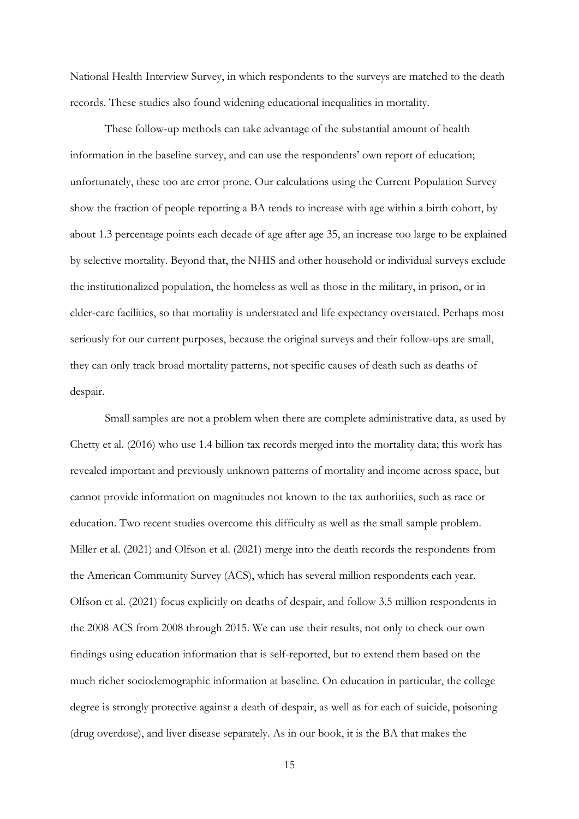National Health Interview Survey, in which respondents to the surveys are matched to the death records. These studies also found widening educational inequalities in mortality.

These follow-up methods can take advantage of the substantial amount of health information in the baseline survey, and can use the respondents' own report of education; unfortunately, these too are error prone. Our calculations using the Current Population Survey show the fraction of people reporting a BA tends to increase with age within a birth cohort, by about 1.3 percentage points each decade of age after age 35, an increase too large to be explained by selective mortality. Beyond that, the NHIS and other household or individual surveys exclude the institutionalized population, the homeless as well as those in the military, in prison, or in elder-care facilities, so that mortality is understated and life expectancy overstated. Perhaps most seriously for our current purposes, because the original surveys and their follow-ups are small, they can only track broad mortality patterns, not specific causes of death such as deaths of despair.

Small samples are not a problem when there are complete administrative data, as used by Chetty et al. (2016) who use 1.4 billion tax records merged into the mortality data; this work has revealed important and previously unknown patterns of mortality and income across space, but cannot provide information on magnitudes not known to the tax authorities, such as race or education. Two recent studies overcome this difficulty as well as the small sample problem. Miller et al. (2021) and Olfson et al. (2021) merge into the death records the respondents from the American Community Survey (ACS), which has several million respondents each year. Olfson et al. (2021) focus explicitly on deaths of despair, and follow 3.5 million respondents in the 2008 ACS from 2008 through 2015. We can use their results, not only to check our own findings using education information that is self-reported, but to extend them based on the much richer sociodemographic information at baseline. On education in particular, the college degree is strongly protective against a death of despair, as well as for each of suicide, poisoning (drug overdose), and liver disease separately. As in our book, it is the BA that makes the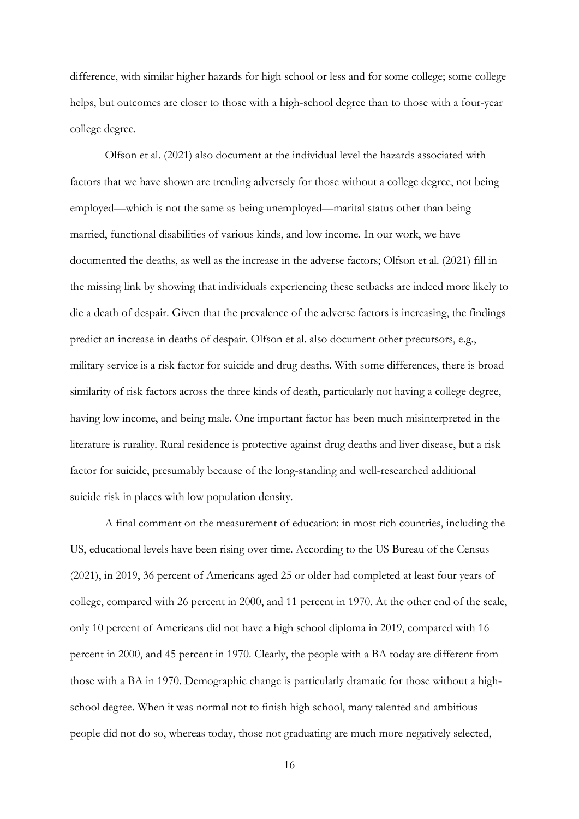difference, with similar higher hazards for high school or less and for some college; some college helps, but outcomes are closer to those with a high-school degree than to those with a four-year college degree.

Olfson et al. (2021) also document at the individual level the hazards associated with factors that we have shown are trending adversely for those without a college degree, not being employed—which is not the same as being unemployed—marital status other than being married, functional disabilities of various kinds, and low income. In our work, we have documented the deaths, as well as the increase in the adverse factors; Olfson et al. (2021) fill in the missing link by showing that individuals experiencing these setbacks are indeed more likely to die a death of despair. Given that the prevalence of the adverse factors is increasing, the findings predict an increase in deaths of despair. Olfson et al. also document other precursors, e.g., military service is a risk factor for suicide and drug deaths. With some differences, there is broad similarity of risk factors across the three kinds of death, particularly not having a college degree, having low income, and being male. One important factor has been much misinterpreted in the literature is rurality. Rural residence is protective against drug deaths and liver disease, but a risk factor for suicide, presumably because of the long-standing and well-researched additional suicide risk in places with low population density.

A final comment on the measurement of education: in most rich countries, including the US, educational levels have been rising over time. According to the US Bureau of the Census (2021), in 2019, 36 percent of Americans aged 25 or older had completed at least four years of college, compared with 26 percent in 2000, and 11 percent in 1970. At the other end of the scale, only 10 percent of Americans did not have a high school diploma in 2019, compared with 16 percent in 2000, and 45 percent in 1970. Clearly, the people with a BA today are different from those with a BA in 1970. Demographic change is particularly dramatic for those without a highschool degree. When it was normal not to finish high school, many talented and ambitious people did not do so, whereas today, those not graduating are much more negatively selected,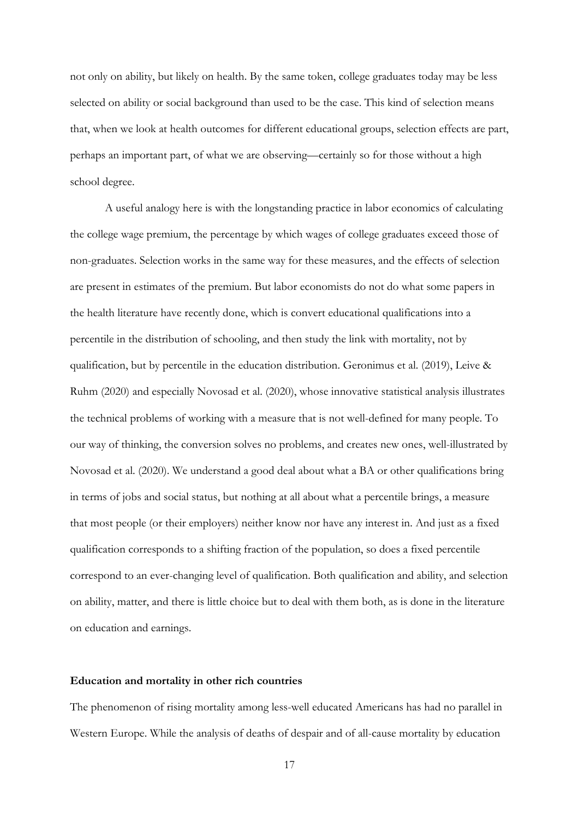not only on ability, but likely on health. By the same token, college graduates today may be less selected on ability or social background than used to be the case. This kind of selection means that, when we look at health outcomes for different educational groups, selection effects are part, perhaps an important part, of what we are observing—certainly so for those without a high school degree.

A useful analogy here is with the longstanding practice in labor economics of calculating the college wage premium, the percentage by which wages of college graduates exceed those of non-graduates. Selection works in the same way for these measures, and the effects of selection are present in estimates of the premium. But labor economists do not do what some papers in the health literature have recently done, which is convert educational qualifications into a percentile in the distribution of schooling, and then study the link with mortality, not by qualification, but by percentile in the education distribution. Geronimus et al. (2019), Leive & Ruhm (2020) and especially Novosad et al. (2020), whose innovative statistical analysis illustrates the technical problems of working with a measure that is not well-defined for many people. To our way of thinking, the conversion solves no problems, and creates new ones, well-illustrated by Novosad et al. (2020). We understand a good deal about what a BA or other qualifications bring in terms of jobs and social status, but nothing at all about what a percentile brings, a measure that most people (or their employers) neither know nor have any interest in. And just as a fixed qualification corresponds to a shifting fraction of the population, so does a fixed percentile correspond to an ever-changing level of qualification. Both qualification and ability, and selection on ability, matter, and there is little choice but to deal with them both, as is done in the literature on education and earnings.

### **Education and mortality in other rich countries**

The phenomenon of rising mortality among less-well educated Americans has had no parallel in Western Europe. While the analysis of deaths of despair and of all-cause mortality by education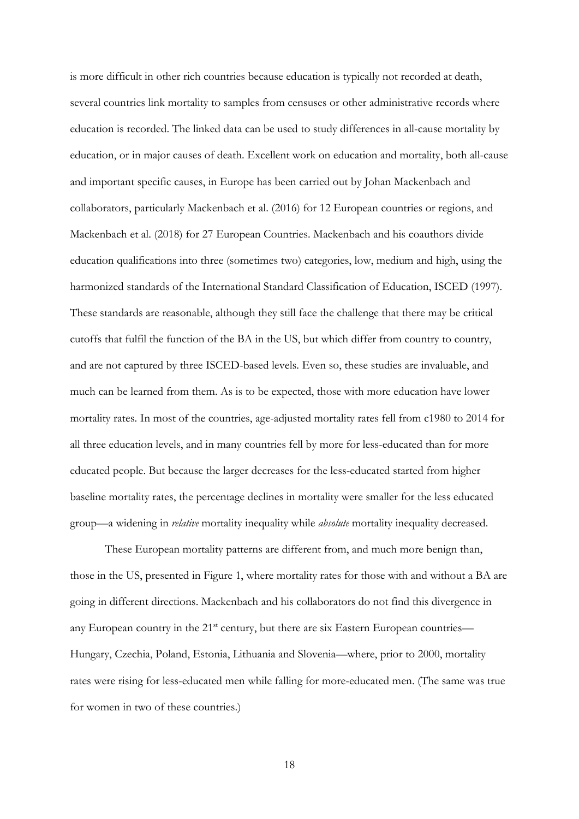is more difficult in other rich countries because education is typically not recorded at death, several countries link mortality to samples from censuses or other administrative records where education is recorded. The linked data can be used to study differences in all-cause mortality by education, or in major causes of death. Excellent work on education and mortality, both all-cause and important specific causes, in Europe has been carried out by Johan Mackenbach and collaborators, particularly Mackenbach et al. (2016) for 12 European countries or regions, and Mackenbach et al. (2018) for 27 European Countries. Mackenbach and his coauthors divide education qualifications into three (sometimes two) categories, low, medium and high, using the harmonized standards of the International Standard Classification of Education, ISCED (1997). These standards are reasonable, although they still face the challenge that there may be critical cutoffs that fulfil the function of the BA in the US, but which differ from country to country, and are not captured by three ISCED-based levels. Even so, these studies are invaluable, and much can be learned from them. As is to be expected, those with more education have lower mortality rates. In most of the countries, age-adjusted mortality rates fell from c1980 to 2014 for all three education levels, and in many countries fell by more for less-educated than for more educated people. But because the larger decreases for the less-educated started from higher baseline mortality rates, the percentage declines in mortality were smaller for the less educated group—a widening in *relative* mortality inequality while *absolute* mortality inequality decreased.

These European mortality patterns are different from, and much more benign than, those in the US, presented in Figure 1, where mortality rates for those with and without a BA are going in different directions. Mackenbach and his collaborators do not find this divergence in any European country in the 21<sup>st</sup> century, but there are six Eastern European countries— Hungary, Czechia, Poland, Estonia, Lithuania and Slovenia—where, prior to 2000, mortality rates were rising for less-educated men while falling for more-educated men. (The same was true for women in two of these countries.)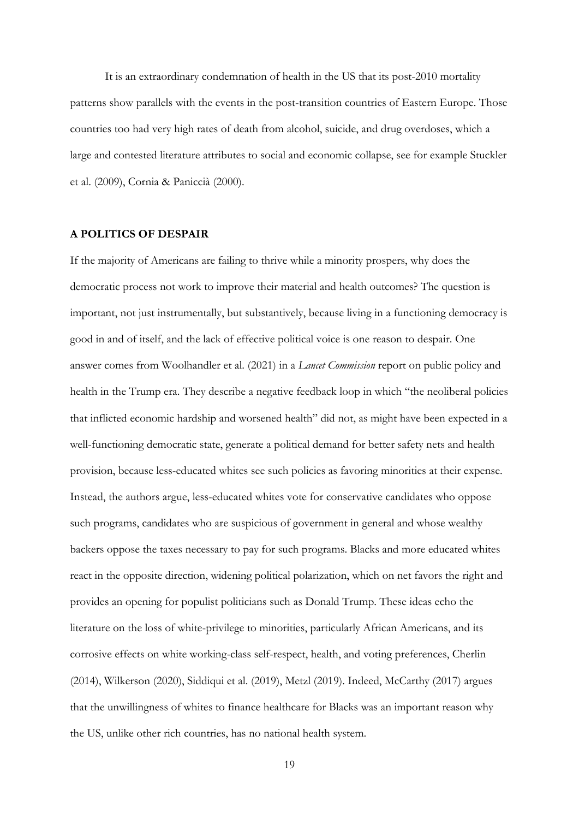It is an extraordinary condemnation of health in the US that its post-2010 mortality patterns show parallels with the events in the post-transition countries of Eastern Europe. Those countries too had very high rates of death from alcohol, suicide, and drug overdoses, which a large and contested literature attributes to social and economic collapse, see for example Stuckler et al. (2009), Cornia & Paniccià (2000).

### **A POLITICS OF DESPAIR**

If the majority of Americans are failing to thrive while a minority prospers, why does the democratic process not work to improve their material and health outcomes? The question is important, not just instrumentally, but substantively, because living in a functioning democracy is good in and of itself, and the lack of effective political voice is one reason to despair. One answer comes from Woolhandler et al. (2021) in a *Lancet Commission* report on public policy and health in the Trump era. They describe a negative feedback loop in which "the neoliberal policies that inflicted economic hardship and worsened health" did not, as might have been expected in a well-functioning democratic state, generate a political demand for better safety nets and health provision, because less-educated whites see such policies as favoring minorities at their expense. Instead, the authors argue, less-educated whites vote for conservative candidates who oppose such programs, candidates who are suspicious of government in general and whose wealthy backers oppose the taxes necessary to pay for such programs. Blacks and more educated whites react in the opposite direction, widening political polarization, which on net favors the right and provides an opening for populist politicians such as Donald Trump. These ideas echo the literature on the loss of white-privilege to minorities, particularly African Americans, and its corrosive effects on white working-class self-respect, health, and voting preferences, Cherlin (2014), Wilkerson (2020), Siddiqui et al. (2019), Metzl (2019). Indeed, McCarthy (2017) argues that the unwillingness of whites to finance healthcare for Blacks was an important reason why the US, unlike other rich countries, has no national health system.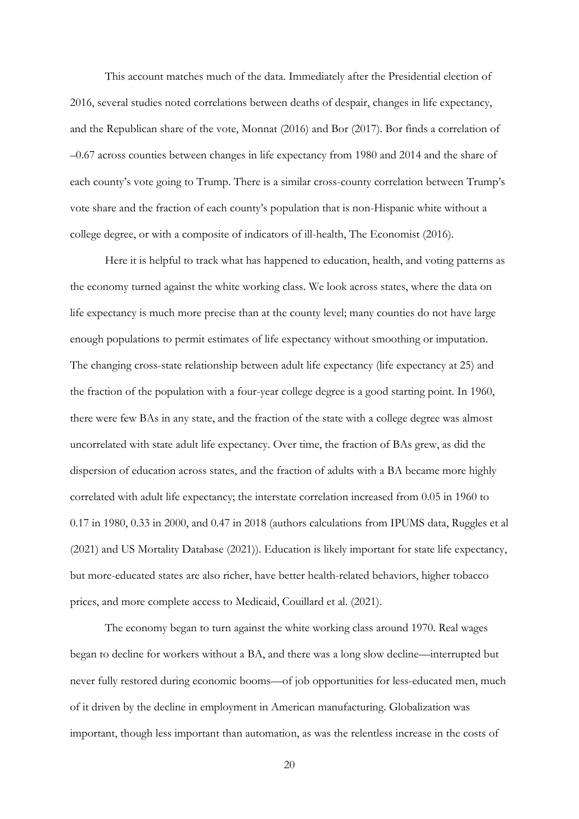This account matches much of the data. Immediately after the Presidential election of 2016, several studies noted correlations between deaths of despair, changes in life expectancy, and the Republican share of the vote, Monnat (2016) and Bor (2017). Bor finds a correlation of –0.67 across counties between changes in life expectancy from 1980 and 2014 and the share of each county's vote going to Trump. There is a similar cross-county correlation between Trump's vote share and the fraction of each county's population that is non-Hispanic white without a college degree, or with a composite of indicators of ill-health, The Economist (2016).

Here it is helpful to track what has happened to education, health, and voting patterns as the economy turned against the white working class. We look across states, where the data on life expectancy is much more precise than at the county level; many counties do not have large enough populations to permit estimates of life expectancy without smoothing or imputation. The changing cross-state relationship between adult life expectancy (life expectancy at 25) and the fraction of the population with a four-year college degree is a good starting point. In 1960, there were few BAs in any state, and the fraction of the state with a college degree was almost uncorrelated with state adult life expectancy. Over time, the fraction of BAs grew, as did the dispersion of education across states, and the fraction of adults with a BA became more highly correlated with adult life expectancy; the interstate correlation increased from 0.05 in 1960 to 0.17 in 1980, 0.33 in 2000, and 0.47 in 2018 (authors calculations from IPUMS data, Ruggles et al (2021) and US Mortality Database (2021)). Education is likely important for state life expectancy, but more-educated states are also richer, have better health-related behaviors, higher tobacco prices, and more complete access to Medicaid, Couillard et al. (2021).

The economy began to turn against the white working class around 1970. Real wages began to decline for workers without a BA, and there was a long slow decline—interrupted but never fully restored during economic booms—of job opportunities for less-educated men, much of it driven by the decline in employment in American manufacturing. Globalization was important, though less important than automation, as was the relentless increase in the costs of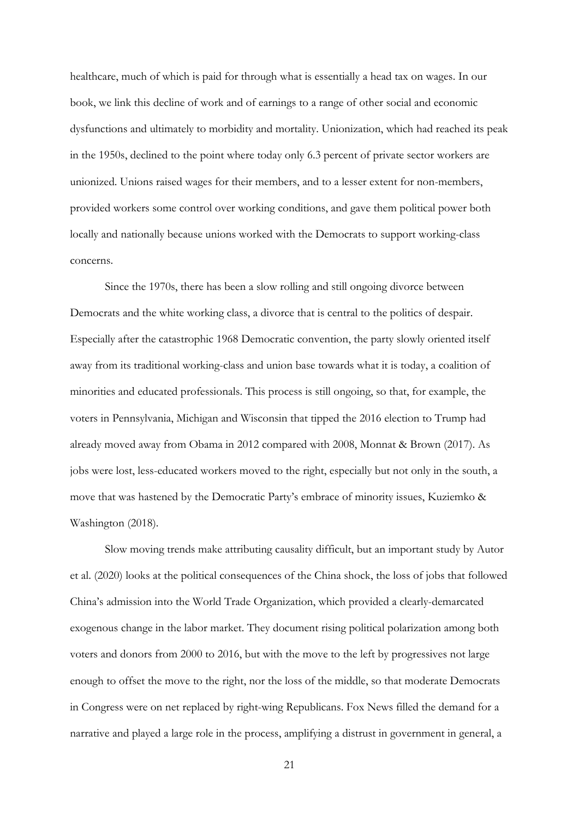healthcare, much of which is paid for through what is essentially a head tax on wages. In our book, we link this decline of work and of earnings to a range of other social and economic dysfunctions and ultimately to morbidity and mortality. Unionization, which had reached its peak in the 1950s, declined to the point where today only 6.3 percent of private sector workers are unionized. Unions raised wages for their members, and to a lesser extent for non-members, provided workers some control over working conditions, and gave them political power both locally and nationally because unions worked with the Democrats to support working-class concerns.

Since the 1970s, there has been a slow rolling and still ongoing divorce between Democrats and the white working class, a divorce that is central to the politics of despair. Especially after the catastrophic 1968 Democratic convention, the party slowly oriented itself away from its traditional working-class and union base towards what it is today, a coalition of minorities and educated professionals. This process is still ongoing, so that, for example, the voters in Pennsylvania, Michigan and Wisconsin that tipped the 2016 election to Trump had already moved away from Obama in 2012 compared with 2008, Monnat & Brown (2017). As jobs were lost, less-educated workers moved to the right, especially but not only in the south, a move that was hastened by the Democratic Party's embrace of minority issues, Kuziemko & Washington (2018).

Slow moving trends make attributing causality difficult, but an important study by Autor et al. (2020) looks at the political consequences of the China shock, the loss of jobs that followed China's admission into the World Trade Organization, which provided a clearly-demarcated exogenous change in the labor market. They document rising political polarization among both voters and donors from 2000 to 2016, but with the move to the left by progressives not large enough to offset the move to the right, nor the loss of the middle, so that moderate Democrats in Congress were on net replaced by right-wing Republicans. Fox News filled the demand for a narrative and played a large role in the process, amplifying a distrust in government in general, a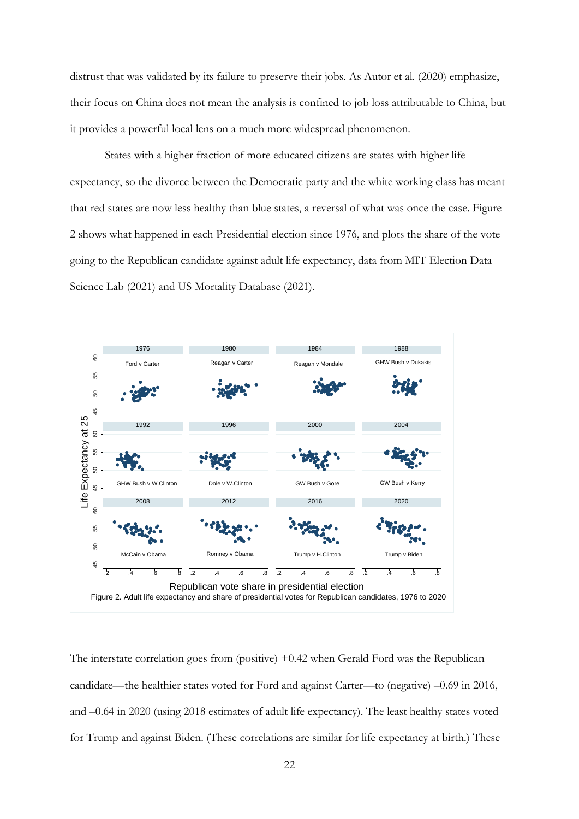distrust that was validated by its failure to preserve their jobs. As Autor et al. (2020) emphasize, their focus on China does not mean the analysis is confined to job loss attributable to China, but it provides a powerful local lens on a much more widespread phenomenon.

States with a higher fraction of more educated citizens are states with higher life expectancy, so the divorce between the Democratic party and the white working class has meant that red states are now less healthy than blue states, a reversal of what was once the case. Figure 2 shows what happened in each Presidential election since 1976, and plots the share of the vote going to the Republican candidate against adult life expectancy, data from MIT Election Data Science Lab (2021) and US Mortality Database (2021).



The interstate correlation goes from (positive) +0.42 when Gerald Ford was the Republican candidate—the healthier states voted for Ford and against Carter—to (negative) –0.69 in 2016, and –0.64 in 2020 (using 2018 estimates of adult life expectancy). The least healthy states voted for Trump and against Biden. (These correlations are similar for life expectancy at birth.) These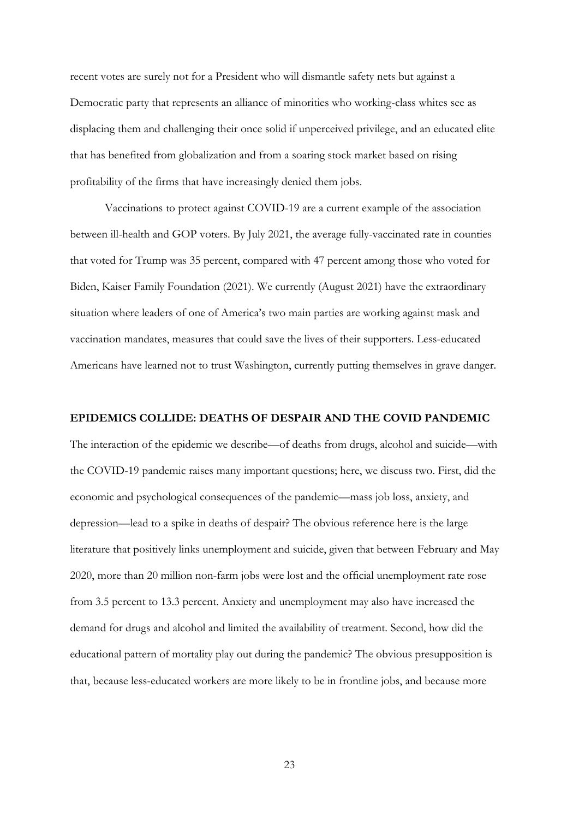recent votes are surely not for a President who will dismantle safety nets but against a Democratic party that represents an alliance of minorities who working-class whites see as displacing them and challenging their once solid if unperceived privilege, and an educated elite that has benefited from globalization and from a soaring stock market based on rising profitability of the firms that have increasingly denied them jobs.

Vaccinations to protect against COVID-19 are a current example of the association between ill-health and GOP voters. By July 2021, the average fully-vaccinated rate in counties that voted for Trump was 35 percent, compared with 47 percent among those who voted for Biden, Kaiser Family Foundation (2021). We currently (August 2021) have the extraordinary situation where leaders of one of America's two main parties are working against mask and vaccination mandates, measures that could save the lives of their supporters. Less-educated Americans have learned not to trust Washington, currently putting themselves in grave danger.

#### **EPIDEMICS COLLIDE: DEATHS OF DESPAIR AND THE COVID PANDEMIC**

The interaction of the epidemic we describe—of deaths from drugs, alcohol and suicide—with the COVID-19 pandemic raises many important questions; here, we discuss two. First, did the economic and psychological consequences of the pandemic—mass job loss, anxiety, and depression—lead to a spike in deaths of despair? The obvious reference here is the large literature that positively links unemployment and suicide, given that between February and May 2020, more than 20 million non-farm jobs were lost and the official unemployment rate rose from 3.5 percent to 13.3 percent. Anxiety and unemployment may also have increased the demand for drugs and alcohol and limited the availability of treatment. Second, how did the educational pattern of mortality play out during the pandemic? The obvious presupposition is that, because less-educated workers are more likely to be in frontline jobs, and because more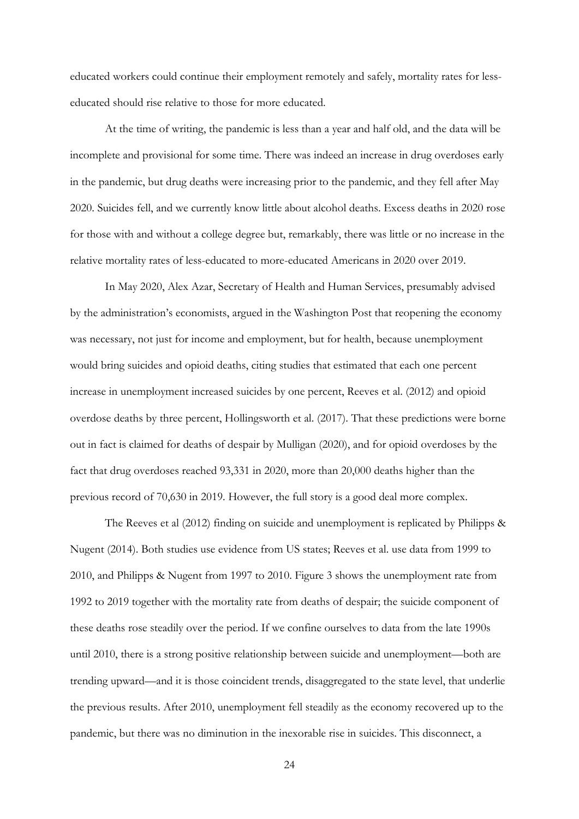educated workers could continue their employment remotely and safely, mortality rates for lesseducated should rise relative to those for more educated.

At the time of writing, the pandemic is less than a year and half old, and the data will be incomplete and provisional for some time. There was indeed an increase in drug overdoses early in the pandemic, but drug deaths were increasing prior to the pandemic, and they fell after May 2020. Suicides fell, and we currently know little about alcohol deaths. Excess deaths in 2020 rose for those with and without a college degree but, remarkably, there was little or no increase in the relative mortality rates of less-educated to more-educated Americans in 2020 over 2019.

In May 2020, Alex Azar, Secretary of Health and Human Services, presumably advised by the administration's economists, argued in the Washington Post that reopening the economy was necessary, not just for income and employment, but for health, because unemployment would bring suicides and opioid deaths, citing studies that estimated that each one percent increase in unemployment increased suicides by one percent, Reeves et al. (2012) and opioid overdose deaths by three percent, Hollingsworth et al. (2017). That these predictions were borne out in fact is claimed for deaths of despair by Mulligan (2020), and for opioid overdoses by the fact that drug overdoses reached 93,331 in 2020, more than 20,000 deaths higher than the previous record of 70,630 in 2019. However, the full story is a good deal more complex.

The Reeves et al (2012) finding on suicide and unemployment is replicated by Philipps & Nugent (2014). Both studies use evidence from US states; Reeves et al. use data from 1999 to 2010, and Philipps & Nugent from 1997 to 2010. Figure 3 shows the unemployment rate from 1992 to 2019 together with the mortality rate from deaths of despair; the suicide component of these deaths rose steadily over the period. If we confine ourselves to data from the late 1990s until 2010, there is a strong positive relationship between suicide and unemployment—both are trending upward—and it is those coincident trends, disaggregated to the state level, that underlie the previous results. After 2010, unemployment fell steadily as the economy recovered up to the pandemic, but there was no diminution in the inexorable rise in suicides. This disconnect, a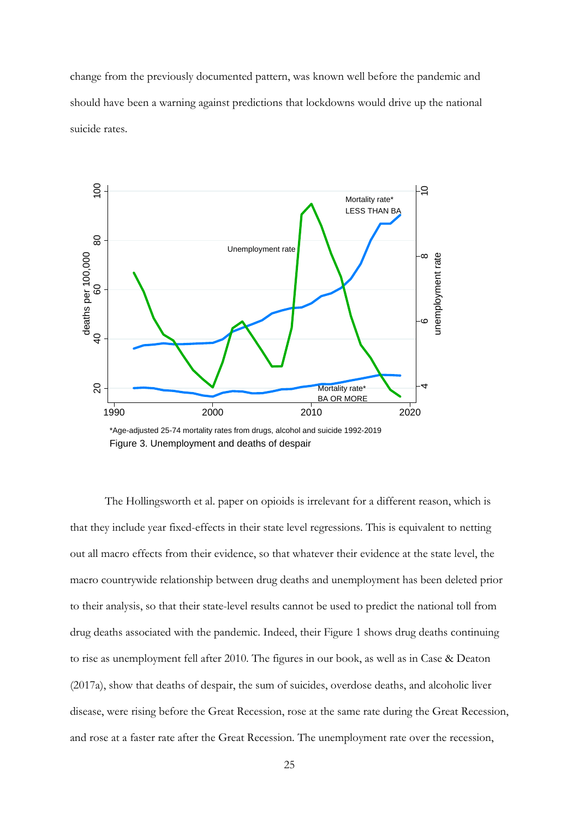change from the previously documented pattern, was known well before the pandemic and should have been a warning against predictions that lockdowns would drive up the national suicide rates.



The Hollingsworth et al. paper on opioids is irrelevant for a different reason, which is that they include year fixed-effects in their state level regressions. This is equivalent to netting out all macro effects from their evidence, so that whatever their evidence at the state level, the macro countrywide relationship between drug deaths and unemployment has been deleted prior to their analysis, so that their state-level results cannot be used to predict the national toll from drug deaths associated with the pandemic. Indeed, their Figure 1 shows drug deaths continuing to rise as unemployment fell after 2010. The figures in our book, as well as in Case & Deaton (2017a), show that deaths of despair, the sum of suicides, overdose deaths, and alcoholic liver disease, were rising before the Great Recession, rose at the same rate during the Great Recession, and rose at a faster rate after the Great Recession. The unemployment rate over the recession,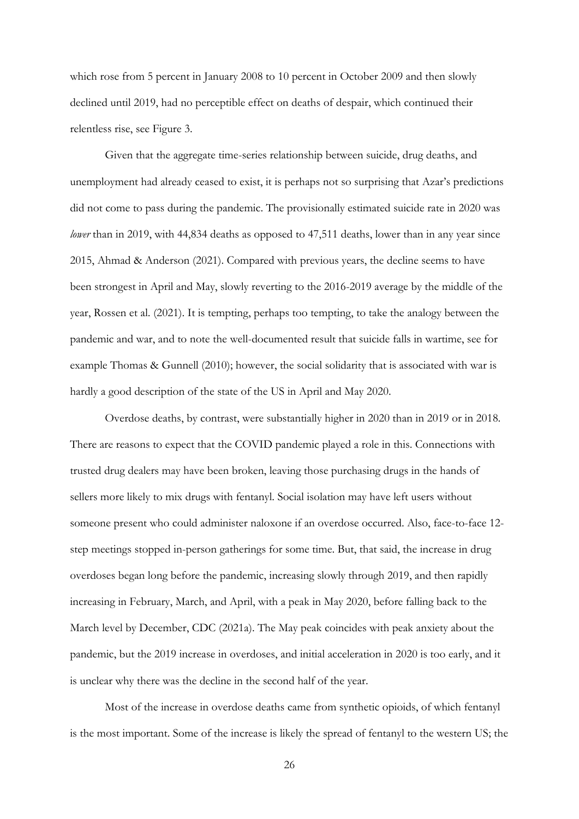which rose from 5 percent in January 2008 to 10 percent in October 2009 and then slowly declined until 2019, had no perceptible effect on deaths of despair, which continued their relentless rise, see Figure 3.

Given that the aggregate time-series relationship between suicide, drug deaths, and unemployment had already ceased to exist, it is perhaps not so surprising that Azar's predictions did not come to pass during the pandemic. The provisionally estimated suicide rate in 2020 was *lower* than in 2019, with 44,834 deaths as opposed to 47,511 deaths, lower than in any year since 2015, Ahmad & Anderson (2021). Compared with previous years, the decline seems to have been strongest in April and May, slowly reverting to the 2016-2019 average by the middle of the year, Rossen et al. (2021). It is tempting, perhaps too tempting, to take the analogy between the pandemic and war, and to note the well-documented result that suicide falls in wartime, see for example Thomas & Gunnell (2010); however, the social solidarity that is associated with war is hardly a good description of the state of the US in April and May 2020.

Overdose deaths, by contrast, were substantially higher in 2020 than in 2019 or in 2018. There are reasons to expect that the COVID pandemic played a role in this. Connections with trusted drug dealers may have been broken, leaving those purchasing drugs in the hands of sellers more likely to mix drugs with fentanyl. Social isolation may have left users without someone present who could administer naloxone if an overdose occurred. Also, face-to-face 12 step meetings stopped in-person gatherings for some time. But, that said, the increase in drug overdoses began long before the pandemic, increasing slowly through 2019, and then rapidly increasing in February, March, and April, with a peak in May 2020, before falling back to the March level by December, CDC (2021a). The May peak coincides with peak anxiety about the pandemic, but the 2019 increase in overdoses, and initial acceleration in 2020 is too early, and it is unclear why there was the decline in the second half of the year.

Most of the increase in overdose deaths came from synthetic opioids, of which fentanyl is the most important. Some of the increase is likely the spread of fentanyl to the western US; the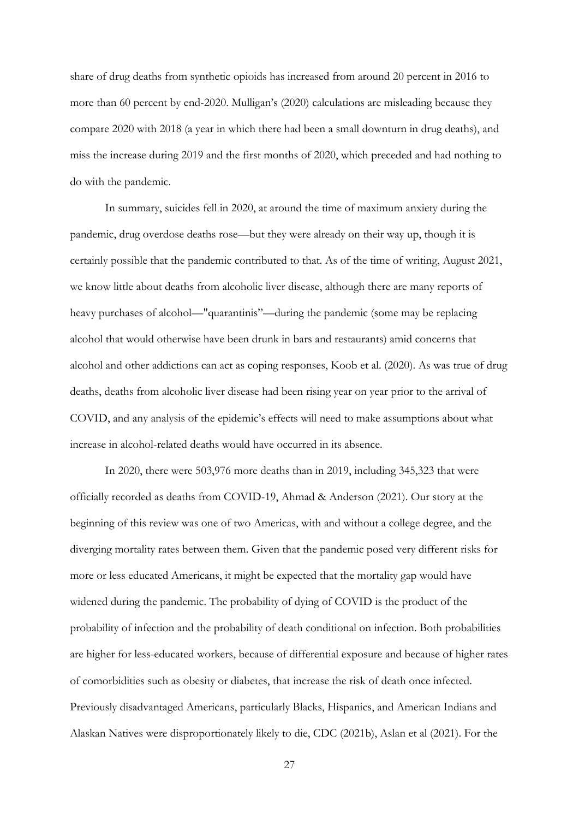share of drug deaths from synthetic opioids has increased from around 20 percent in 2016 to more than 60 percent by end-2020. Mulligan's (2020) calculations are misleading because they compare 2020 with 2018 (a year in which there had been a small downturn in drug deaths), and miss the increase during 2019 and the first months of 2020, which preceded and had nothing to do with the pandemic.

In summary, suicides fell in 2020, at around the time of maximum anxiety during the pandemic, drug overdose deaths rose—but they were already on their way up, though it is certainly possible that the pandemic contributed to that. As of the time of writing, August 2021, we know little about deaths from alcoholic liver disease, although there are many reports of heavy purchases of alcohol—"quarantinis"—during the pandemic (some may be replacing alcohol that would otherwise have been drunk in bars and restaurants) amid concerns that alcohol and other addictions can act as coping responses, Koob et al. (2020). As was true of drug deaths, deaths from alcoholic liver disease had been rising year on year prior to the arrival of COVID, and any analysis of the epidemic's effects will need to make assumptions about what increase in alcohol-related deaths would have occurred in its absence.

In 2020, there were 503,976 more deaths than in 2019, including 345,323 that were officially recorded as deaths from COVID-19, Ahmad & Anderson (2021). Our story at the beginning of this review was one of two Americas, with and without a college degree, and the diverging mortality rates between them. Given that the pandemic posed very different risks for more or less educated Americans, it might be expected that the mortality gap would have widened during the pandemic. The probability of dying of COVID is the product of the probability of infection and the probability of death conditional on infection. Both probabilities are higher for less-educated workers, because of differential exposure and because of higher rates of comorbidities such as obesity or diabetes, that increase the risk of death once infected. Previously disadvantaged Americans, particularly Blacks, Hispanics, and American Indians and Alaskan Natives were disproportionately likely to die, CDC (2021b), Aslan et al (2021). For the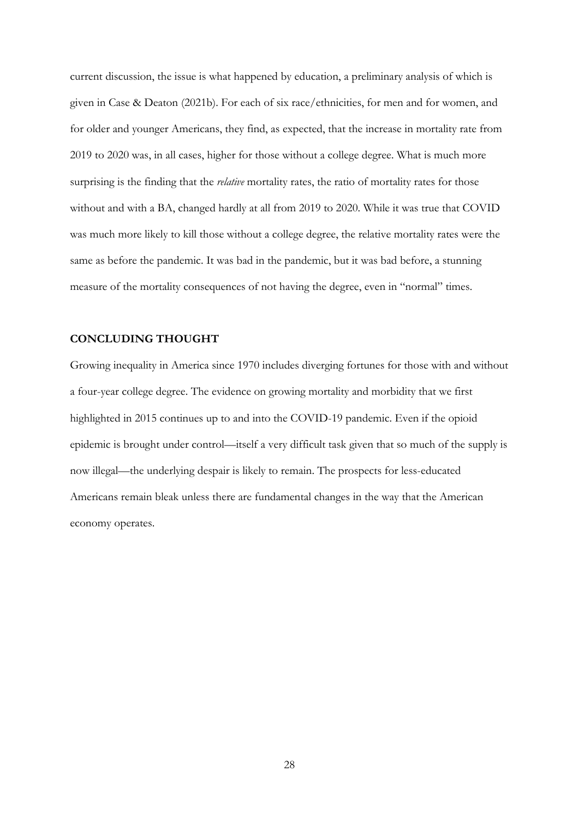current discussion, the issue is what happened by education, a preliminary analysis of which is given in Case & Deaton (2021b). For each of six race/ethnicities, for men and for women, and for older and younger Americans, they find, as expected, that the increase in mortality rate from 2019 to 2020 was, in all cases, higher for those without a college degree. What is much more surprising is the finding that the *relative* mortality rates, the ratio of mortality rates for those without and with a BA, changed hardly at all from 2019 to 2020. While it was true that COVID was much more likely to kill those without a college degree, the relative mortality rates were the same as before the pandemic. It was bad in the pandemic, but it was bad before, a stunning measure of the mortality consequences of not having the degree, even in "normal" times.

### **CONCLUDING THOUGHT**

Growing inequality in America since 1970 includes diverging fortunes for those with and without a four-year college degree. The evidence on growing mortality and morbidity that we first highlighted in 2015 continues up to and into the COVID-19 pandemic. Even if the opioid epidemic is brought under control—itself a very difficult task given that so much of the supply is now illegal—the underlying despair is likely to remain. The prospects for less-educated Americans remain bleak unless there are fundamental changes in the way that the American economy operates.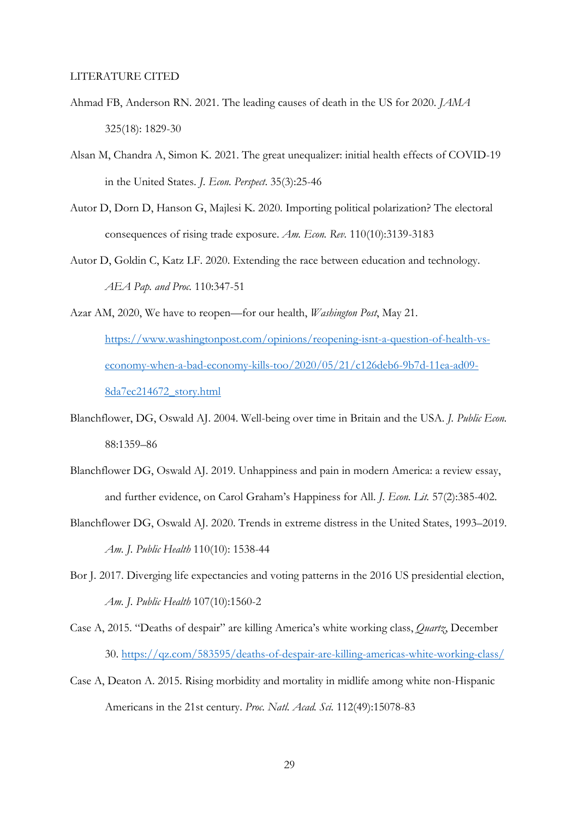#### LITERATURE CITED

- Ahmad FB, Anderson RN. 2021. The leading causes of death in the US for 2020. *JAMA* 325(18): 1829-30
- Alsan M, Chandra A, Simon K. 2021. The great unequalizer: initial health effects of COVID-19 in the United States. *J. Econ. Perspect*. 35(3):25-46
- Autor D, Dorn D, Hanson G, Majlesi K. 2020. Importing political polarization? The electoral consequences of rising trade exposure. *Am. Econ. Rev.* 110(10):3139-3183
- Autor D, Goldin C, Katz LF. 2020. Extending the race between education and technology. *AEA Pap. and Proc.* 110:347-51
- Azar AM, 2020, We have to reopen—for our health, *Washington Post*, May 21.

[https://www.washingtonpost.com/opinions/reopening-isnt-a-question-of-health-vs](https://www.washingtonpost.com/opinions/reopening-isnt-a-question-of-health-vs-economy-when-a-bad-economy-kills-too/2020/05/21/c126deb6-9b7d-11ea-ad09-8da7ec214672_story.html)[economy-when-a-bad-economy-kills-too/2020/05/21/c126deb6-9b7d-11ea-ad09-](https://www.washingtonpost.com/opinions/reopening-isnt-a-question-of-health-vs-economy-when-a-bad-economy-kills-too/2020/05/21/c126deb6-9b7d-11ea-ad09-8da7ec214672_story.html) [8da7ec214672\\_story.html](https://www.washingtonpost.com/opinions/reopening-isnt-a-question-of-health-vs-economy-when-a-bad-economy-kills-too/2020/05/21/c126deb6-9b7d-11ea-ad09-8da7ec214672_story.html)

- Blanchflower, DG, Oswald AJ. 2004. Well-being over time in Britain and the USA. *J. Public Econ.*  88:1359–86
- Blanchflower DG, Oswald AJ. 2019. Unhappiness and pain in modern America: a review essay, and further evidence, on Carol Graham's Happiness for All. *J. Econ. Lit.* 57(2):385-402.
- Blanchflower DG, Oswald AJ. 2020. Trends in extreme distress in the United States, 1993–2019. *Am. J. Public Health* 110(10): 1538-44
- Bor J. 2017. Diverging life expectancies and voting patterns in the 2016 US presidential election, *Am. J. Public Health* 107(10):1560-2
- Case A, 2015. "Deaths of despair" are killing America's white working class, *Quartz*, December 30.<https://qz.com/583595/deaths-of-despair-are-killing-americas-white-working-class/>
- Case A, Deaton A. 2015. Rising morbidity and mortality in midlife among white non-Hispanic Americans in the 21st century. *Proc. Natl. Acad. Sci.* 112(49):15078-83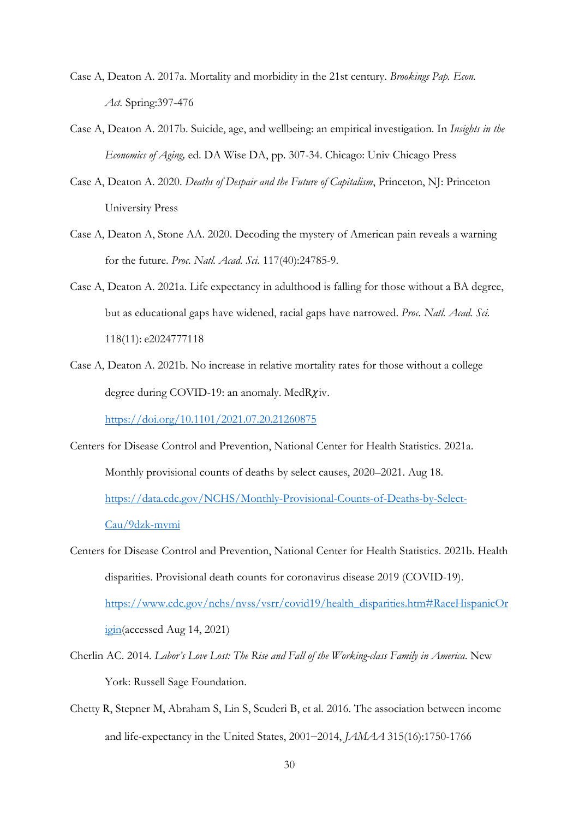- Case A, Deaton A. 2017a. Mortality and morbidity in the 21st century. *Brookings Pap. Econ. Act.* Spring:397-476
- Case A, Deaton A. 2017b. Suicide, age, and wellbeing: an empirical investigation. In *Insights in the Economics of Aging,* ed. DA Wise DA, pp. 307-34. Chicago: Univ Chicago Press
- Case A, Deaton A. 2020. *Deaths of Despair and the Future of Capitalism*, Princeton, NJ: Princeton University Press
- Case A, Deaton A, Stone AA. 2020. Decoding the mystery of American pain reveals a warning for the future. *Proc. Natl. Acad. Sci.* 117(40):24785-9.
- Case A, Deaton A. 2021a. Life expectancy in adulthood is falling for those without a BA degree, but as educational gaps have widened, racial gaps have narrowed. *Proc. Natl. Acad. Sci.* 118(11): e2024777118
- Case A, Deaton A. 2021b. No increase in relative mortality rates for those without a college degree during COVID-19: an anomaly. Med $R\chi$ iv.

<https://doi.org/10.1101/2021.07.20.21260875>

- Centers for Disease Control and Prevention, National Center for Health Statistics. 2021a. Monthly provisional counts of deaths by select causes, 2020–2021. Aug 18. [https://data.cdc.gov/NCHS/Monthly-Provisional-Counts-of-Deaths-by-Select-](https://data.cdc.gov/NCHS/Monthly-Provisional-Counts-of-Deaths-by-Select-Cau/9dzk-mvmi)[Cau/9dzk-mvmi](https://data.cdc.gov/NCHS/Monthly-Provisional-Counts-of-Deaths-by-Select-Cau/9dzk-mvmi)
- Centers for Disease Control and Prevention, National Center for Health Statistics. 2021b. Health disparities. Provisional death counts for coronavirus disease 2019 (COVID-19). [https://www.cdc.gov/nchs/nvss/vsrr/covid19/health\\_disparities.htm#RaceHispanicOr](https://www.cdc.gov/nchs/nvss/vsrr/covid19/health_disparities.htm#RaceHispanicOrigin) [igin\(](https://www.cdc.gov/nchs/nvss/vsrr/covid19/health_disparities.htm#RaceHispanicOrigin)accessed Aug 14, 2021)
- Cherlin AC. 2014. *Labor's Love Lost: The Rise and Fall of the Working-class Family in America*. New York: Russell Sage Foundation.
- Chetty R, Stepner M, Abraham S, Lin S, Scuderi B, et al. 2016. The association between income and life-expectancy in the United States, 2001−2014, *JAMAA* 315(16):1750-1766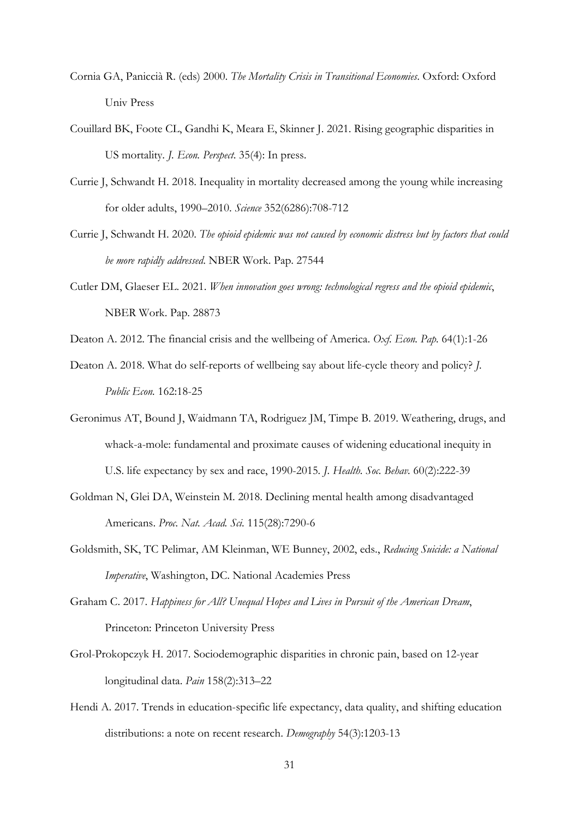- Cornia GA, Paniccià R. (eds) 2000. *The Mortality Crisis in Transitional Economies*. Oxford: Oxford Univ Press
- Couillard BK, Foote CL, Gandhi K, Meara E, Skinner J. 2021. Rising geographic disparities in US mortality. *J. Econ. Perspect*. 35(4): In press.
- Currie J, Schwandt H. 2018. Inequality in mortality decreased among the young while increasing for older adults, 1990–2010. *Science* 352(6286):708-712
- Currie J, Schwandt H. 2020. *The opioid epidemic was not caused by economic distress but by factors that could be more rapidly addressed*. NBER Work. Pap. 27544
- Cutler DM, Glaeser EL. 2021. *When innovation goes wrong: technological regress and the opioid epidemic*, NBER Work. Pap. 28873
- Deaton A. 2012. The financial crisis and the wellbeing of America. *Oxf. Econ. Pap.* 64(1):1-26
- Deaton A. 2018. What do self-reports of wellbeing say about life-cycle theory and policy? *J. Public Econ.* 162:18-25
- Geronimus AT, Bound J, Waidmann TA, Rodriguez JM, Timpe B. 2019. Weathering, drugs, and whack-a-mole: fundamental and proximate causes of widening educational inequity in U.S. life expectancy by sex and race, 1990-2015*. J. Health. Soc. Behav.* 60(2):222-39
- Goldman N, Glei DA, Weinstein M. 2018. Declining mental health among disadvantaged Americans. *Proc. Nat. Acad. Sci.* 115(28):7290-6
- Goldsmith, SK, TC Pelimar, AM Kleinman, WE Bunney, 2002, eds., *Reducing Suicide: a National Imperative*, Washington, DC. National Academies Press
- Graham C. 2017. *Happiness for All? Unequal Hopes and Lives in Pursuit of the American Dream*, Princeton: Princeton University Press
- Grol-Prokopczyk H. 2017. Sociodemographic disparities in chronic pain, based on 12-year longitudinal data. *Pain* 158(2):313–22
- Hendi A. 2017. Trends in education-specific life expectancy, data quality, and shifting education distributions: a note on recent research. *Demography* 54(3):1203-13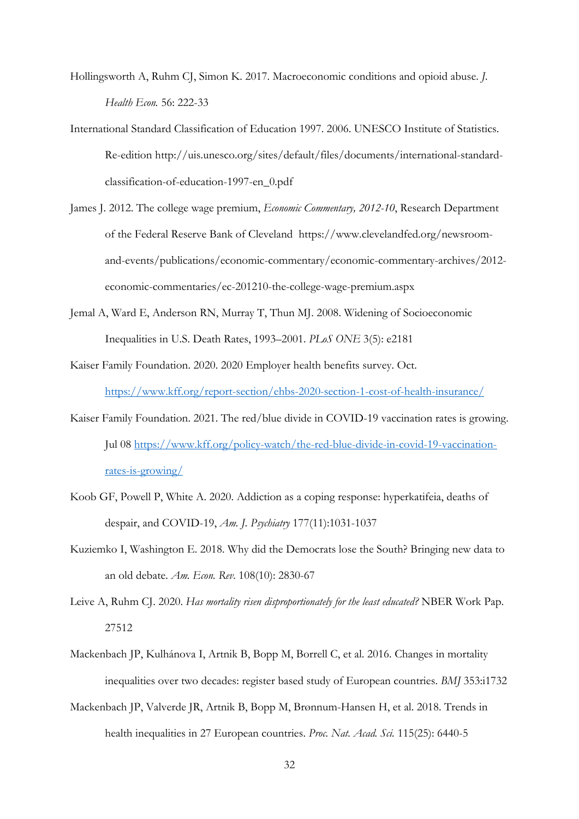Hollingsworth A, Ruhm CJ, Simon K. 2017. Macroeconomic conditions and opioid abuse. *J. Health Econ.* 56: 222-33

- International Standard Classification of Education 1997. 2006. UNESCO Institute of Statistics. Re-edition http://uis.unesco.org/sites/default/files/documents/international-standardclassification-of-education-1997-en\_0.pdf
- James J. 2012. The college wage premium, *Economic Commentary, 2012-10*, Research Department of the Federal Reserve Bank of Cleveland https://www.clevelandfed.org/newsroomand-events/publications/economic-commentary/economic-commentary-archives/2012 economic-commentaries/ec-201210-the-college-wage-premium.aspx
- Jemal A, Ward E, Anderson RN, Murray T, Thun MJ. 2008. Widening of Socioeconomic Inequalities in U.S. Death Rates, 1993–2001. *PLoS ONE* 3(5): e2181
- Kaiser Family Foundation. 2020. 2020 Employer health benefits survey. Oct. <https://www.kff.org/report-section/ehbs-2020-section-1-cost-of-health-insurance/>
- Kaiser Family Foundation. 2021. The red/blue divide in COVID-19 vaccination rates is growing. Jul 08 [https://www.kff.org/policy-watch/the-red-blue-divide-in-covid-19-vaccination](https://www.kff.org/policy-watch/the-red-blue-divide-in-covid-19-vaccination-rates-is-growing/)[rates-is-growing/](https://www.kff.org/policy-watch/the-red-blue-divide-in-covid-19-vaccination-rates-is-growing/)
- Koob GF, Powell P, White A. 2020. Addiction as a coping response: hyperkatifeia, deaths of despair, and COVID-19, *Am. J. Psychiatry* 177(11):1031-1037
- Kuziemko I, Washington E. 2018. Why did the Democrats lose the South? Bringing new data to an old debate. *Am. Econ. Rev*. 108(10): 2830-67
- Leive A, Ruhm CJ. 2020. *Has mortality risen disproportionately for the least educated?* NBER Work Pap. 27512
- Mackenbach JP, Kulhánova I, Artnik B, Bopp M, Borrell C, et al. 2016. Changes in mortality inequalities over two decades: register based study of European countries. *BMJ* 353:i1732
- Mackenbach JP, Valverde JR, Artnik B, Bopp M, Brønnum-Hansen H, et al. 2018. Trends in health inequalities in 27 European countries. *Proc. Nat. Acad. Sci.* 115(25): 6440-5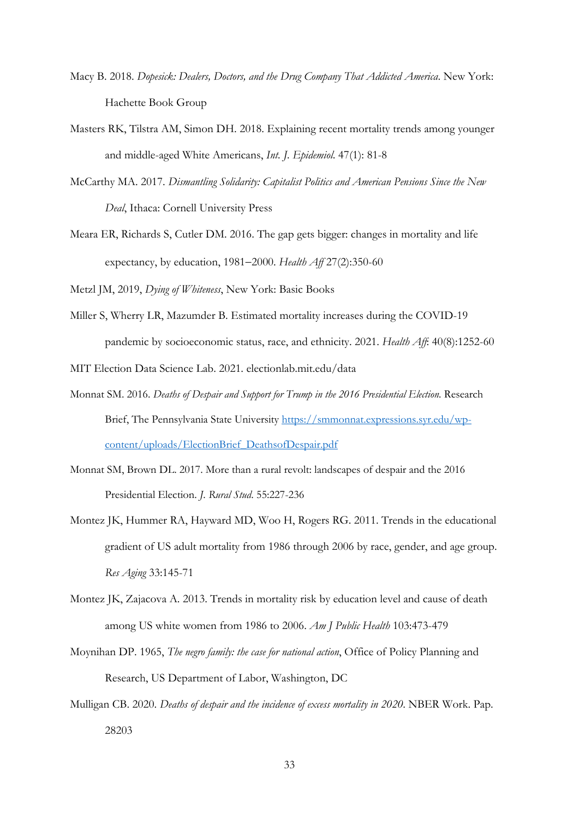- Macy B. 2018. *Dopesick: Dealers, Doctors, and the Drug Company That Addicted America*. New York: Hachette Book Group
- Masters RK, Tilstra AM, Simon DH. 2018. Explaining recent mortality trends among younger and middle-aged White Americans, *Int. J. Epidemiol*. 47(1): 81-8
- McCarthy MA. 2017. *Dismantling Solidarity: Capitalist Politics and American Pensions Since the New Deal*, Ithaca: Cornell University Press
- Meara ER, Richards S, Cutler DM. 2016. The gap gets bigger: changes in mortality and life expectancy, by education, 1981−2000. *Health Aff* 27(2):350-60

Metzl JM, 2019, *Dying of Whiteness*, New York: Basic Books

Miller S, Wherry LR, Mazumder B. Estimated mortality increases during the COVID-19 pandemic by socioeconomic status, race, and ethnicity. 2021. *Health Aff*: 40(8):1252-60

MIT Election Data Science Lab. 2021. electionlab.mit.edu/data

- Monnat SM. 2016. *Deaths of Despair and Support for Trump in the 2016 Presidential Election.* Research Brief, The Pennsylvania State University [https://smmonnat.expressions.syr.edu/wp](https://smmonnat.expressions.syr.edu/wp-content/uploads/ElectionBrief_DeathsofDespair.pdf)[content/uploads/ElectionBrief\\_DeathsofDespair.pdf](https://smmonnat.expressions.syr.edu/wp-content/uploads/ElectionBrief_DeathsofDespair.pdf)
- Monnat SM, Brown DL. 2017. More than a rural revolt: landscapes of despair and the 2016 Presidential Election. *J. Rural Stud*. 55:227-236
- Montez JK, Hummer RA, Hayward MD, Woo H, Rogers RG. 2011. Trends in the educational gradient of US adult mortality from 1986 through 2006 by race, gender, and age group. *Res Aging* 33:145-71
- Montez JK, Zajacova A. 2013. Trends in mortality risk by education level and cause of death among US white women from 1986 to 2006. *Am J Public Health* 103:473-479
- Moynihan DP. 1965, *The negro family: the case for national action*, Office of Policy Planning and Research, US Department of Labor, Washington, DC
- Mulligan CB. 2020. *Deaths of despair and the incidence of excess mortality in 2020*. NBER Work. Pap. 28203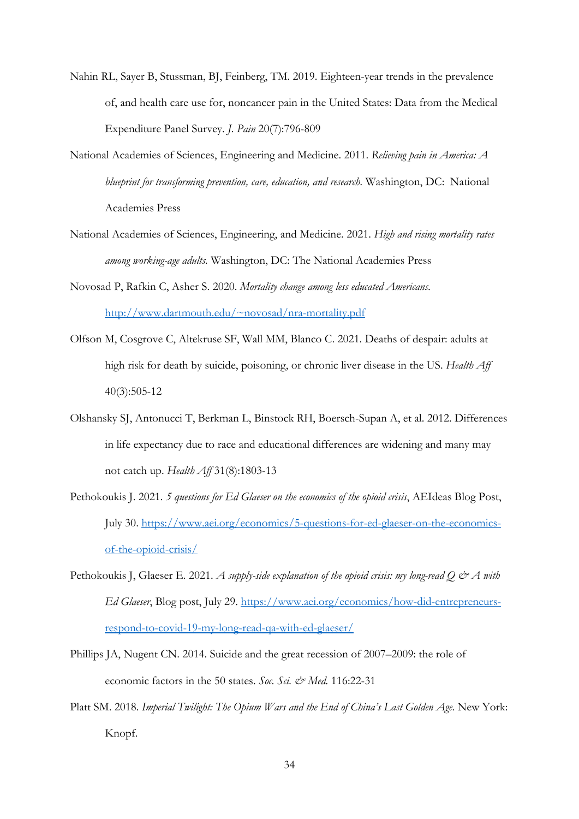- Nahin RL, Sayer B, Stussman, BJ, Feinberg, TM. 2019. Eighteen-year trends in the prevalence of, and health care use for, noncancer pain in the United States: Data from the Medical Expenditure Panel Survey. *J. Pain* 20(7):796-809
- National Academies of Sciences, Engineering and Medicine. 2011. *Relieving pain in America: A blueprint for transforming prevention, care, education, and research.* Washington, DC: National Academies Press
- National Academies of Sciences, Engineering, and Medicine. 2021. *High and rising mortality rates among working-age adults.* Washington, DC: The National Academies Press
- Novosad P, Rafkin C, Asher S. 2020. *Mortality change among less educated Americans.*  [http://www.dartmouth.edu/~novosad/nra-mortality.pdf](http://www.dartmouth.edu/%7Enovosad/nra-mortality.pdf)
- Olfson M, Cosgrove C, Altekruse SF, Wall MM, Blanco C. 2021. Deaths of despair: adults at high risk for death by suicide, poisoning, or chronic liver disease in the US. *Health Aff* 40(3):505-12
- Olshansky SJ, Antonucci T, Berkman L, Binstock RH, Boersch-Supan A, et al. 2012. Differences in life expectancy due to race and educational differences are widening and many may not catch up. *Health Aff* 31(8):1803-13
- Pethokoukis J. 2021. *5 questions for Ed Glaeser on the economics of the opioid crisis*, AEIdeas Blog Post, July 30. [https://www.aei.org/economics/5-questions-for-ed-glaeser-on-the-economics](https://www.aei.org/economics/5-questions-for-ed-glaeser-on-the-economics-of-the-opioid-crisis/)[of-the-opioid-crisis/](https://www.aei.org/economics/5-questions-for-ed-glaeser-on-the-economics-of-the-opioid-crisis/)
- Pethokoukis J, Glaeser E. 2021. *A supply-side explanation of the opioid crisis: my long-read Q & A with Ed Glaeser*, Blog post, July 29. [https://www.aei.org/economics/how-did-entrepreneurs](https://www.aei.org/economics/how-did-entrepreneurs-respond-to-covid-19-my-long-read-qa-with-ed-glaeser/)[respond-to-covid-19-my-long-read-qa-with-ed-glaeser/](https://www.aei.org/economics/how-did-entrepreneurs-respond-to-covid-19-my-long-read-qa-with-ed-glaeser/)
- Phillips JA, Nugent CN. 2014. Suicide and the great recession of 2007–2009: the role of economic factors in the 50 states. *Soc. Sci. & Med.* 116:22-31
- Platt SM. 2018. *Imperial Twilight: The Opium Wars and the End of China's Last Golden Age.* New York: Knopf.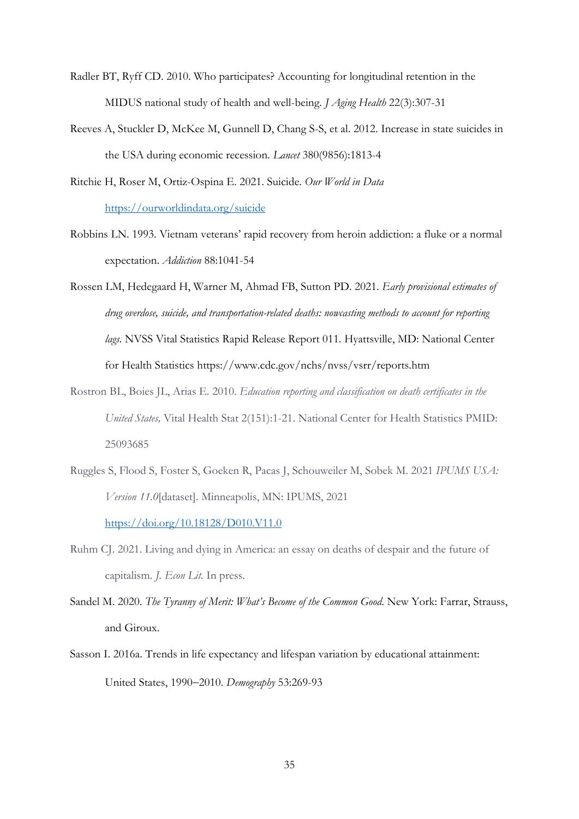- Radler BT, Ryff CD. 2010. Who participates? Accounting for longitudinal retention in the MIDUS national study of health and well-being. *J Aging Health* 22(3):307-31
- Reeves A, Stuckler D, McKee M, Gunnell D, Chang S-S, et al. 2012. Increase in state suicides in the USA during economic recession. *Lancet* 380(9856):1813-4
- Ritchie H, Roser M, Ortiz-Ospina E. 2021. Suicide. *Our World in Data* <https://ourworldindata.org/suicide>
- Robbins LN. 1993. Vietnam veterans' rapid recovery from heroin addiction: a fluke or a normal expectation. *Addiction* 88:1041-54
- Rossen LM, Hedegaard H, Warner M, Ahmad FB, Sutton PD. 2021. *Early provisional estimates of drug overdose, suicide, and transportation-related deaths: nowcasting methods to account for reporting lags.* NVSS Vital Statistics Rapid Release Report 011*.* Hyattsville, MD: National Center for Health Statistics https://www.cdc.gov/nchs/nvss/vsrr/reports.htm
- Rostron BL, Boies JL, Arias E. 2010. *Education reporting and classification on death certificates in the United States,* Vital Health Stat 2(151):1-21. National Center for Health Statistics PMID: 25093685
- Ruggles S, Flood S, Foster S, Goeken R, Pacas J, Schouweiler M, Sobek M. 2021 *IPUMS USA: Version 11.0*[dataset]. Minneapolis, MN: IPUMS, 2021 <https://doi.org/10.18128/D010.V11.0>
- Ruhm CJ. 2021. Living and dying in America: an essay on deaths of despair and the future of capitalism. *J. Econ Lit.* In press.
- Sandel M. 2020. *The Tyranny of Merit: What's Become of the Common Good*. New York: Farrar, Strauss, and Giroux.
- Sasson I. 2016a. Trends in life expectancy and lifespan variation by educational attainment: United States, 1990−2010. *Demography* 53:269-93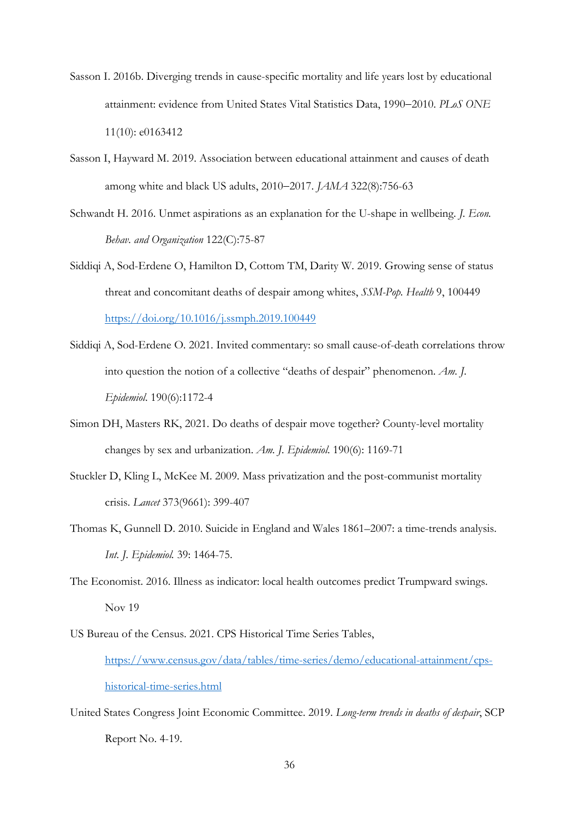- Sasson I. 2016b. Diverging trends in cause-specific mortality and life years lost by educational attainment: evidence from United States Vital Statistics Data, 1990−2010. *PLoS ONE* 11(10): e0163412
- Sasson I, Hayward M. 2019. Association between educational attainment and causes of death among white and black US adults, 2010−2017. *JAMA* 322(8):756-63
- Schwandt H. 2016. Unmet aspirations as an explanation for the U-shape in wellbeing. *J. Econ. Behav. and Organization* 122(C):75-87
- Siddiqi A, Sod-Erdene O, Hamilton D, Cottom TM, Darity W. 2019. Growing sense of status threat and concomitant deaths of despair among whites, *SSM-Pop. Health* 9, 100449 <https://doi.org/10.1016/j.ssmph.2019.100449>
- Siddiqi A, Sod-Erdene O. 2021. Invited commentary: so small cause-of-death correlations throw into question the notion of a collective "deaths of despair" phenomenon. *Am. J. Epidemiol*. 190(6):1172-4
- Simon DH, Masters RK, 2021. Do deaths of despair move together? County-level mortality changes by sex and urbanization. *Am. J. Epidemiol*. 190(6): 1169-71
- Stuckler D, Kling L, McKee M. 2009. Mass privatization and the post-communist mortality crisis. *Lancet* 373(9661): 399-407
- Thomas K, Gunnell D. 2010. Suicide in England and Wales 1861–2007: a time-trends analysis. *Int. J. Epidemiol.* 39: 1464-75.
- The Economist. 2016. Illness as indicator: local health outcomes predict Trumpward swings. Nov 19
- US Bureau of the Census. 2021. CPS Historical Time Series Tables, [https://www.census.gov/data/tables/time-series/demo/educational-attainment/cps](https://www.census.gov/data/tables/time-series/demo/educational-attainment/cps-historical-time-series.html)[historical-time-series.html](https://www.census.gov/data/tables/time-series/demo/educational-attainment/cps-historical-time-series.html)
- United States Congress Joint Economic Committee. 2019. *Long-term trends in deaths of despair*, SCP Report No. 4-19.